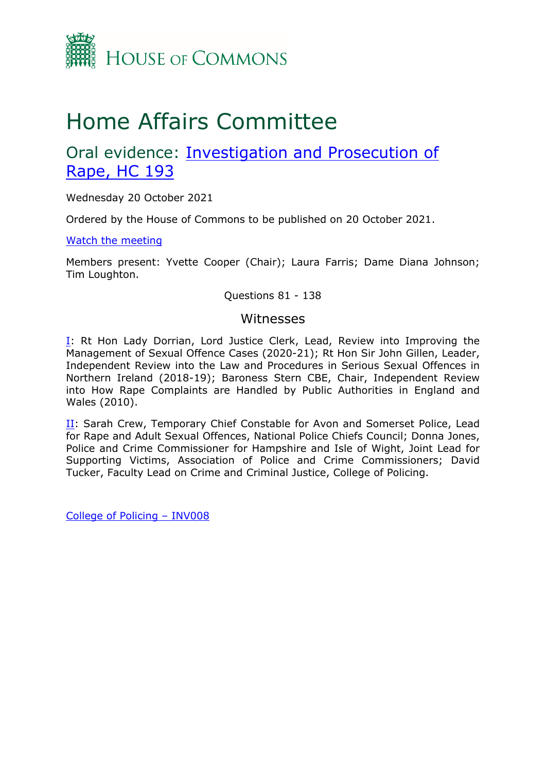

# Home Affairs Committee

# Oral evidence: [Investigation](https://committees.parliament.uk/work/1160/investigation-and-prosecution-of-rape) [and](https://committees.parliament.uk/work/1160/investigation-and-prosecution-of-rape) [Prosecution](https://committees.parliament.uk/work/1160/investigation-and-prosecution-of-rape) [of](https://committees.parliament.uk/work/1160/investigation-and-prosecution-of-rape) [Rape,](https://committees.parliament.uk/work/1160/investigation-and-prosecution-of-rape) [HC](https://committees.parliament.uk/work/1160/investigation-and-prosecution-of-rape) [193](https://committees.parliament.uk/work/1160/investigation-and-prosecution-of-rape)

Wednesday 20 October 2021

Ordered by the House of Commons to be published on 20 October 2021.

[Watch](https://parliamentlive.tv/event/index/63fbb984-dd7a-467a-88c0-51df5bd582a4) [the](https://parliamentlive.tv/event/index/63fbb984-dd7a-467a-88c0-51df5bd582a4) [meeting](https://parliamentlive.tv/event/index/63fbb984-dd7a-467a-88c0-51df5bd582a4)

Members present: Yvette Cooper (Chair); Laura Farris; Dame Diana Johnson; Tim Loughton.

Questions 81 - 138

#### Witnesses

I: Rt Hon Lady Dorrian, Lord Justice Clerk, Lead, Review into Improving the Management of Sexual Offence Cases (2020-21); Rt Hon Sir John Gillen, Leader, Independent Review into the Law and Procedures in Serious Sexual Offences in Northern Ireland (2018-19); Baroness Stern CBE, Chair, Independent Review into How Rape Complaints are Handled by Public Authorities in England and Wales (2010).

II: Sarah Crew, Temporary Chief Constable for Avon and Somerset Police, Lead for Rape and Adult Sexual Offences, National Police Chiefs Council; Donna Jones, Police and Crime Commissioner for Hampshire and Isle of Wight, Joint Lead for Supporting Victims, Association of Police and Crime Commissioners; David Tucker, Faculty Lead on Crime and Criminal Justice, College of Policing.

[College](https://committees.parliament.uk/writtenevidence/36622/pdf/) [of](https://committees.parliament.uk/writtenevidence/36622/pdf/) [Policing](https://committees.parliament.uk/writtenevidence/36622/pdf/) [–](https://committees.parliament.uk/writtenevidence/36622/pdf/) [INV008](https://committees.parliament.uk/writtenevidence/36622/pdf/)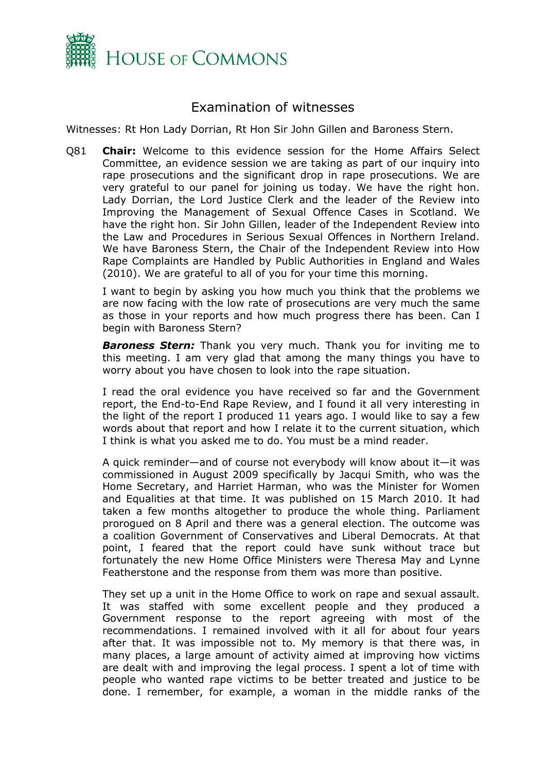

## Examination of witnesses

Witnesses: Rt Hon Lady Dorrian, Rt Hon Sir John Gillen and Baroness Stern.

Q81 **Chair:** Welcome to this evidence session for the Home Affairs Select Committee, an evidence session we are taking as part of our inquiry into rape prosecutions and the significant drop in rape prosecutions. We are very grateful to our panel for joining us today. We have the right hon. Lady Dorrian, the Lord Justice Clerk and the leader of the Review into Improving the Management of Sexual Offence Cases in Scotland. We have the right hon. Sir John Gillen, leader of the Independent Review into the Law and Procedures in Serious Sexual Offences in Northern Ireland. We have Baroness Stern, the Chair of the Independent Review into How Rape Complaints are Handled by Public Authorities in England and Wales (2010). We are grateful to all of you for your time this morning.

I want to begin by asking you how much you think that the problems we are now facing with the low rate of prosecutions are very much the same as those in your reports and how much progress there has been. Can I begin with Baroness Stern?

**Baroness Stern:** Thank you very much. Thank you for inviting me to this meeting. I am very glad that among the many things you have to worry about you have chosen to look into the rape situation.

I read the oral evidence you have received so far and the Government report, the End-to-End Rape Review, and I found it all very interesting in the light of the report I produced 11 years ago. I would like to say a few words about that report and how I relate it to the current situation, which I think is what you asked me to do. You must be a mind reader.

A quick reminder—and of course not everybody will know about it—it was commissioned in August 2009 specifically by Jacqui Smith, who was the Home Secretary, and Harriet Harman, who was the Minister for Women and Equalities at that time. It was published on 15 March 2010. It had taken a few months altogether to produce the whole thing. Parliament prorogued on 8 April and there was a general election. The outcome was a coalition Government of Conservatives and Liberal Democrats. At that point, I feared that the report could have sunk without trace but fortunately the new Home Office Ministers were Theresa May and Lynne Featherstone and the response from them was more than positive.

They set up a unit in the Home Office to work on rape and sexual assault. It was staffed with some excellent people and they produced a Government response to the report agreeing with most of the recommendations. I remained involved with it all for about four years after that. It was impossible not to. My memory is that there was, in many places, a large amount of activity aimed at improving how victims are dealt with and improving the legal process. I spent a lot of time with people who wanted rape victims to be better treated and justice to be done. I remember, for example, a woman in the middle ranks of the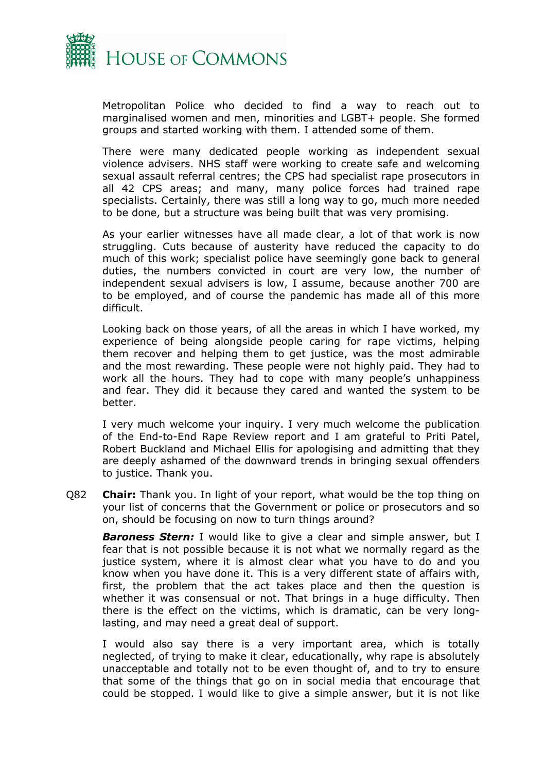

Metropolitan Police who decided to find a way to reach out to marginalised women and men, minorities and LGBT+ people. She formed groups and started working with them. I attended some of them.

There were many dedicated people working as independent sexual violence advisers. NHS staff were working to create safe and welcoming sexual assault referral centres; the CPS had specialist rape prosecutors in all 42 CPS areas; and many, many police forces had trained rape specialists. Certainly, there was still a long way to go, much more needed to be done, but a structure was being built that was very promising.

As your earlier witnesses have all made clear, a lot of that work is now struggling. Cuts because of austerity have reduced the capacity to do much of this work; specialist police have seemingly gone back to general duties, the numbers convicted in court are very low, the number of independent sexual advisers is low, I assume, because another 700 are to be employed, and of course the pandemic has made all of this more difficult.

Looking back on those years, of all the areas in which I have worked, my experience of being alongside people caring for rape victims, helping them recover and helping them to get justice, was the most admirable and the most rewarding. These people were not highly paid. They had to work all the hours. They had to cope with many people's unhappiness and fear. They did it because they cared and wanted the system to be better.

I very much welcome your inquiry. I very much welcome the publication of the End-to-End Rape Review report and I am grateful to Priti Patel, Robert Buckland and Michael Ellis for apologising and admitting that they are deeply ashamed of the downward trends in bringing sexual offenders to justice. Thank you.

Q82 **Chair:** Thank you. In light of your report, what would be the top thing on your list of concerns that the Government or police or prosecutors and so on, should be focusing on now to turn things around?

*Baroness Stern:* I would like to give a clear and simple answer, but I fear that is not possible because it is not what we normally regard as the justice system, where it is almost clear what you have to do and you know when you have done it. This is a very different state of affairs with, first, the problem that the act takes place and then the question is whether it was consensual or not. That brings in a huge difficulty. Then there is the effect on the victims, which is dramatic, can be very longlasting, and may need a great deal of support.

I would also say there is a very important area, which is totally neglected, of trying to make it clear, educationally, why rape is absolutely unacceptable and totally not to be even thought of, and to try to ensure that some of the things that go on in social media that encourage that could be stopped. I would like to give a simple answer, but it is not like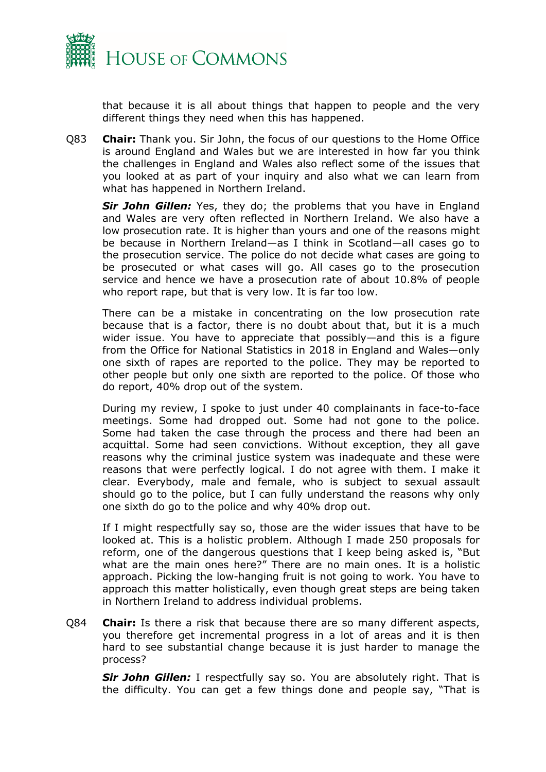

that because it is all about things that happen to people and the very different things they need when this has happened.

Q83 **Chair:** Thank you. Sir John, the focus of our questions to the Home Office is around England and Wales but we are interested in how far you think the challenges in England and Wales also reflect some of the issues that you looked at as part of your inquiry and also what we can learn from what has happened in Northern Ireland.

*Sir John Gillen:* Yes, they do; the problems that you have in England and Wales are very often reflected in Northern Ireland. We also have a low prosecution rate. It is higher than yours and one of the reasons might be because in Northern Ireland—as I think in Scotland—all cases go to the prosecution service. The police do not decide what cases are going to be prosecuted or what cases will go. All cases go to the prosecution service and hence we have a prosecution rate of about 10.8% of people who report rape, but that is very low. It is far too low.

There can be a mistake in concentrating on the low prosecution rate because that is a factor, there is no doubt about that, but it is a much wider issue. You have to appreciate that possibly—and this is a figure from the Office for National Statistics in 2018 in England and Wales—only one sixth of rapes are reported to the police. They may be reported to other people but only one sixth are reported to the police. Of those who do report, 40% drop out of the system.

During my review, I spoke to just under 40 complainants in face-to-face meetings. Some had dropped out. Some had not gone to the police. Some had taken the case through the process and there had been an acquittal. Some had seen convictions. Without exception, they all gave reasons why the criminal justice system was inadequate and these were reasons that were perfectly logical. I do not agree with them. I make it clear. Everybody, male and female, who is subject to sexual assault should go to the police, but I can fully understand the reasons why only one sixth do go to the police and why 40% drop out.

If I might respectfully say so, those are the wider issues that have to be looked at. This is a holistic problem. Although I made 250 proposals for reform, one of the dangerous questions that I keep being asked is, "But what are the main ones here?" There are no main ones. It is a holistic approach. Picking the low-hanging fruit is not going to work. You have to approach this matter holistically, even though great steps are being taken in Northern Ireland to address individual problems.

Q84 **Chair:** Is there a risk that because there are so many different aspects, you therefore get incremental progress in a lot of areas and it is then hard to see substantial change because it is just harder to manage the process?

*Sir John Gillen:* I respectfully say so. You are absolutely right. That is the difficulty. You can get a few things done and people say, "That is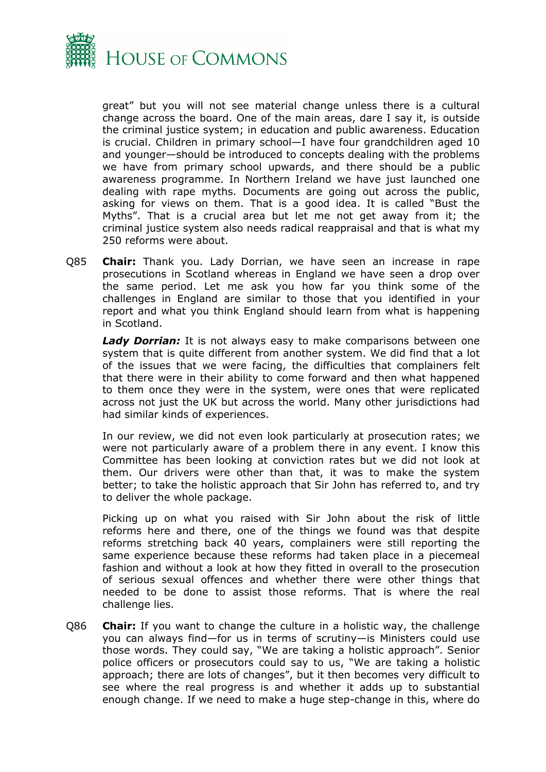

great" but you will not see material change unless there is a cultural change across the board. One of the main areas, dare I say it, is outside the criminal justice system; in education and public awareness. Education is crucial. Children in primary school—I have four grandchildren aged 10 and younger—should be introduced to concepts dealing with the problems we have from primary school upwards, and there should be a public awareness programme. In Northern Ireland we have just launched one dealing with rape myths. Documents are going out across the public, asking for views on them. That is a good idea. It is called "Bust the Myths". That is a crucial area but let me not get away from it; the criminal justice system also needs radical reappraisal and that is what my 250 reforms were about.

Q85 **Chair:** Thank you. Lady Dorrian, we have seen an increase in rape prosecutions in Scotland whereas in England we have seen a drop over the same period. Let me ask you how far you think some of the challenges in England are similar to those that you identified in your report and what you think England should learn from what is happening in Scotland.

*Lady Dorrian:* It is not always easy to make comparisons between one system that is quite different from another system. We did find that a lot of the issues that we were facing, the difficulties that complainers felt that there were in their ability to come forward and then what happened to them once they were in the system, were ones that were replicated across not just the UK but across the world. Many other jurisdictions had had similar kinds of experiences.

In our review, we did not even look particularly at prosecution rates; we were not particularly aware of a problem there in any event. I know this Committee has been looking at conviction rates but we did not look at them. Our drivers were other than that, it was to make the system better; to take the holistic approach that Sir John has referred to, and try to deliver the whole package.

Picking up on what you raised with Sir John about the risk of little reforms here and there, one of the things we found was that despite reforms stretching back 40 years, complainers were still reporting the same experience because these reforms had taken place in a piecemeal fashion and without a look at how they fitted in overall to the prosecution of serious sexual offences and whether there were other things that needed to be done to assist those reforms. That is where the real challenge lies.

Q86 **Chair:** If you want to change the culture in a holistic way, the challenge you can always find—for us in terms of scrutiny—is Ministers could use those words. They could say, "We are taking a holistic approach". Senior police officers or prosecutors could say to us, "We are taking a holistic approach; there are lots of changes", but it then becomes very difficult to see where the real progress is and whether it adds up to substantial enough change. If we need to make a huge step-change in this, where do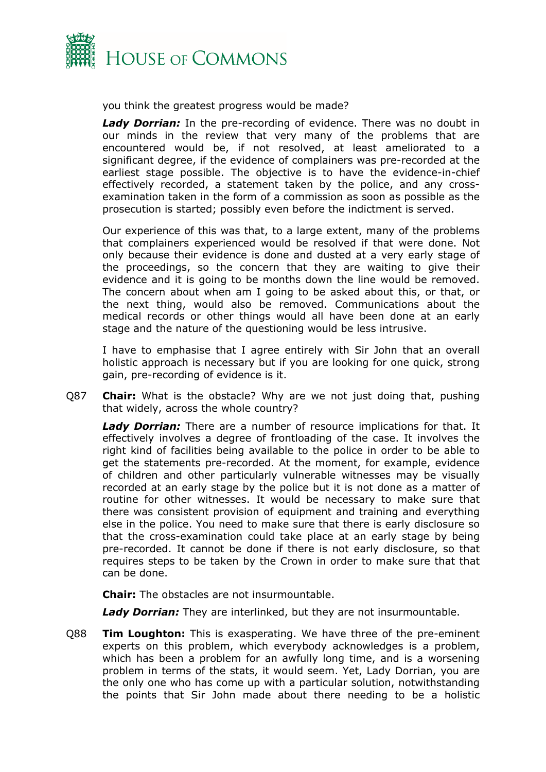

you think the greatest progress would be made?

*Lady Dorrian:* In the pre-recording of evidence. There was no doubt in our minds in the review that very many of the problems that are encountered would be, if not resolved, at least ameliorated to a significant degree, if the evidence of complainers was pre-recorded at the earliest stage possible. The objective is to have the evidence-in-chief effectively recorded, a statement taken by the police, and any crossexamination taken in the form of a commission as soon as possible as the prosecution is started; possibly even before the indictment is served.

Our experience of this was that, to a large extent, many of the problems that complainers experienced would be resolved if that were done. Not only because their evidence is done and dusted at a very early stage of the proceedings, so the concern that they are waiting to give their evidence and it is going to be months down the line would be removed. The concern about when am I going to be asked about this, or that, or the next thing, would also be removed. Communications about the medical records or other things would all have been done at an early stage and the nature of the questioning would be less intrusive.

I have to emphasise that I agree entirely with Sir John that an overall holistic approach is necessary but if you are looking for one quick, strong gain, pre-recording of evidence is it.

Q87 **Chair:** What is the obstacle? Why are we not just doing that, pushing that widely, across the whole country?

*Lady Dorrian:* There are a number of resource implications for that. It effectively involves a degree of frontloading of the case. It involves the right kind of facilities being available to the police in order to be able to get the statements pre-recorded. At the moment, for example, evidence of children and other particularly vulnerable witnesses may be visually recorded at an early stage by the police but it is not done as a matter of routine for other witnesses. It would be necessary to make sure that there was consistent provision of equipment and training and everything else in the police. You need to make sure that there is early disclosure so that the cross-examination could take place at an early stage by being pre-recorded. It cannot be done if there is not early disclosure, so that requires steps to be taken by the Crown in order to make sure that that can be done.

**Chair:** The obstacles are not insurmountable.

*Lady Dorrian:* They are interlinked, but they are not insurmountable.

Q88 **Tim Loughton:** This is exasperating. We have three of the pre-eminent experts on this problem, which everybody acknowledges is a problem, which has been a problem for an awfully long time, and is a worsening problem in terms of the stats, it would seem. Yet, Lady Dorrian, you are the only one who has come up with a particular solution, notwithstanding the points that Sir John made about there needing to be a holistic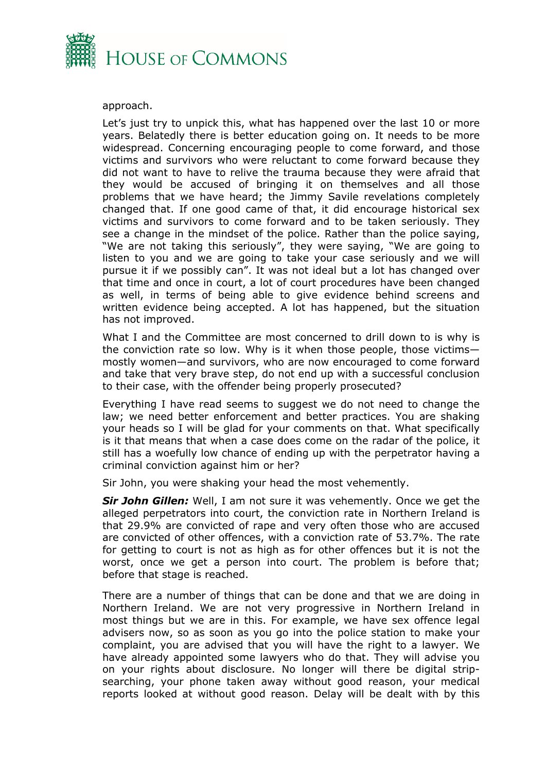

#### approach.

Let's just try to unpick this, what has happened over the last 10 or more years. Belatedly there is better education going on. It needs to be more widespread. Concerning encouraging people to come forward, and those victims and survivors who were reluctant to come forward because they did not want to have to relive the trauma because they were afraid that they would be accused of bringing it on themselves and all those problems that we have heard; the Jimmy Savile revelations completely changed that. If one good came of that, it did encourage historical sex victims and survivors to come forward and to be taken seriously. They see a change in the mindset of the police. Rather than the police saying, "We are not taking this seriously", they were saying, "We are going to listen to you and we are going to take your case seriously and we will pursue it if we possibly can". It was not ideal but a lot has changed over that time and once in court, a lot of court procedures have been changed as well, in terms of being able to give evidence behind screens and written evidence being accepted. A lot has happened, but the situation has not improved.

What I and the Committee are most concerned to drill down to is why is the conviction rate so low. Why is it when those people, those victims mostly women—and survivors, who are now encouraged to come forward and take that very brave step, do not end up with a successful conclusion to their case, with the offender being properly prosecuted?

Everything I have read seems to suggest we do not need to change the law; we need better enforcement and better practices. You are shaking your heads so I will be glad for your comments on that. What specifically is it that means that when a case does come on the radar of the police, it still has a woefully low chance of ending up with the perpetrator having a criminal conviction against him or her?

Sir John, you were shaking your head the most vehemently.

*Sir John Gillen:* Well, I am not sure it was vehemently. Once we get the alleged perpetrators into court, the conviction rate in Northern Ireland is that 29.9% are convicted of rape and very often those who are accused are convicted of other offences, with a conviction rate of 53.7%. The rate for getting to court is not as high as for other offences but it is not the worst, once we get a person into court. The problem is before that; before that stage is reached.

There are a number of things that can be done and that we are doing in Northern Ireland. We are not very progressive in Northern Ireland in most things but we are in this. For example, we have sex offence legal advisers now, so as soon as you go into the police station to make your complaint, you are advised that you will have the right to a lawyer. We have already appointed some lawyers who do that. They will advise you on your rights about disclosure. No longer will there be digital stripsearching, your phone taken away without good reason, your medical reports looked at without good reason. Delay will be dealt with by this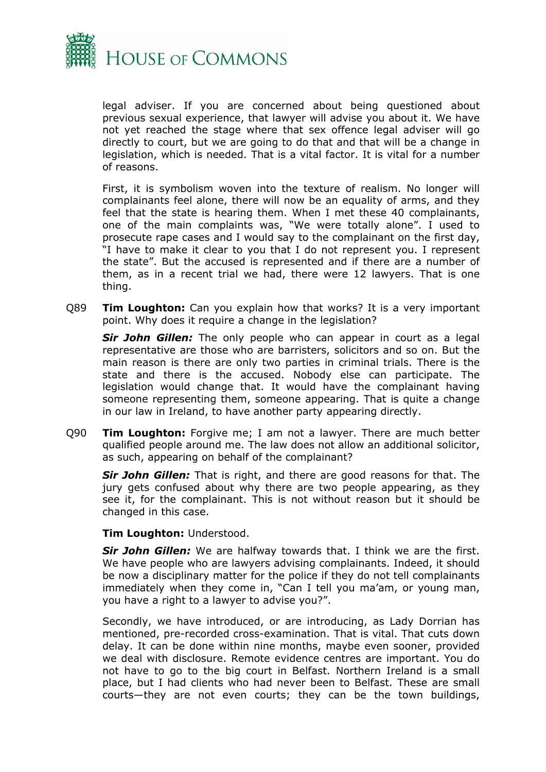

legal adviser. If you are concerned about being questioned about previous sexual experience, that lawyer will advise you about it. We have not yet reached the stage where that sex offence legal adviser will go directly to court, but we are going to do that and that will be a change in legislation, which is needed. That is a vital factor. It is vital for a number of reasons.

First, it is symbolism woven into the texture of realism. No longer will complainants feel alone, there will now be an equality of arms, and they feel that the state is hearing them. When I met these 40 complainants, one of the main complaints was, "We were totally alone". I used to prosecute rape cases and I would say to the complainant on the first day, "I have to make it clear to you that I do not represent you. I represent the state". But the accused is represented and if there are a number of them, as in a recent trial we had, there were 12 lawyers. That is one thing.

Q89 **Tim Loughton:** Can you explain how that works? It is a very important point. Why does it require a change in the legislation?

*Sir John Gillen:* The only people who can appear in court as a legal representative are those who are barristers, solicitors and so on. But the main reason is there are only two parties in criminal trials. There is the state and there is the accused. Nobody else can participate. The legislation would change that. It would have the complainant having someone representing them, someone appearing. That is quite a change in our law in Ireland, to have another party appearing directly.

Q90 **Tim Loughton:** Forgive me; I am not a lawyer. There are much better qualified people around me. The law does not allow an additional solicitor, as such, appearing on behalf of the complainant?

*Sir John Gillen:* That is right, and there are good reasons for that. The jury gets confused about why there are two people appearing, as they see it, for the complainant. This is not without reason but it should be changed in this case.

#### **Tim Loughton:** Understood.

*Sir John Gillen:* We are halfway towards that. I think we are the first. We have people who are lawyers advising complainants. Indeed, it should be now a disciplinary matter for the police if they do not tell complainants immediately when they come in, "Can I tell you ma'am, or young man, you have a right to a lawyer to advise you?".

Secondly, we have introduced, or are introducing, as Lady Dorrian has mentioned, pre-recorded cross-examination. That is vital. That cuts down delay. It can be done within nine months, maybe even sooner, provided we deal with disclosure. Remote evidence centres are important. You do not have to go to the big court in Belfast. Northern Ireland is a small place, but I had clients who had never been to Belfast. These are small courts—they are not even courts; they can be the town buildings,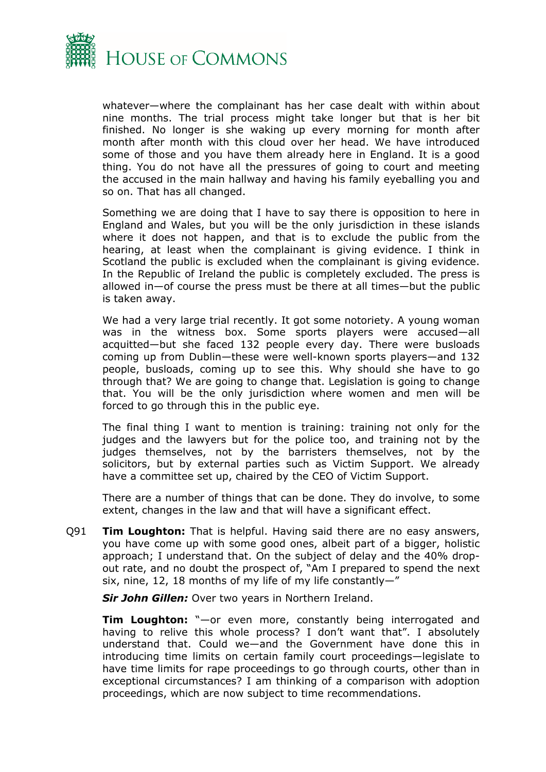

whatever—where the complainant has her case dealt with within about nine months. The trial process might take longer but that is her bit finished. No longer is she waking up every morning for month after month after month with this cloud over her head. We have introduced some of those and you have them already here in England. It is a good thing. You do not have all the pressures of going to court and meeting the accused in the main hallway and having his family eyeballing you and so on. That has all changed.

Something we are doing that I have to say there is opposition to here in England and Wales, but you will be the only jurisdiction in these islands where it does not happen, and that is to exclude the public from the hearing, at least when the complainant is giving evidence. I think in Scotland the public is excluded when the complainant is giving evidence. In the Republic of Ireland the public is completely excluded. The press is allowed in—of course the press must be there at all times—but the public is taken away.

We had a very large trial recently. It got some notoriety. A young woman was in the witness box. Some sports players were accused—all acquitted—but she faced 132 people every day. There were busloads coming up from Dublin—these were well-known sports players—and 132 people, busloads, coming up to see this. Why should she have to go through that? We are going to change that. Legislation is going to change that. You will be the only jurisdiction where women and men will be forced to go through this in the public eye.

The final thing I want to mention is training: training not only for the judges and the lawyers but for the police too, and training not by the judges themselves, not by the barristers themselves, not by the solicitors, but by external parties such as Victim Support. We already have a committee set up, chaired by the CEO of Victim Support.

There are a number of things that can be done. They do involve, to some extent, changes in the law and that will have a significant effect.

Q91 **Tim Loughton:** That is helpful. Having said there are no easy answers, you have come up with some good ones, albeit part of a bigger, holistic approach; I understand that. On the subject of delay and the 40% dropout rate, and no doubt the prospect of, "Am I prepared to spend the next six, nine, 12, 18 months of my life of my life constantly—"

*Sir John Gillen:* Over two years in Northern Ireland.

**Tim Loughton:** "—or even more, constantly being interrogated and having to relive this whole process? I don't want that". I absolutely understand that. Could we—and the Government have done this in introducing time limits on certain family court proceedings—legislate to have time limits for rape proceedings to go through courts, other than in exceptional circumstances? I am thinking of a comparison with adoption proceedings, which are now subject to time recommendations.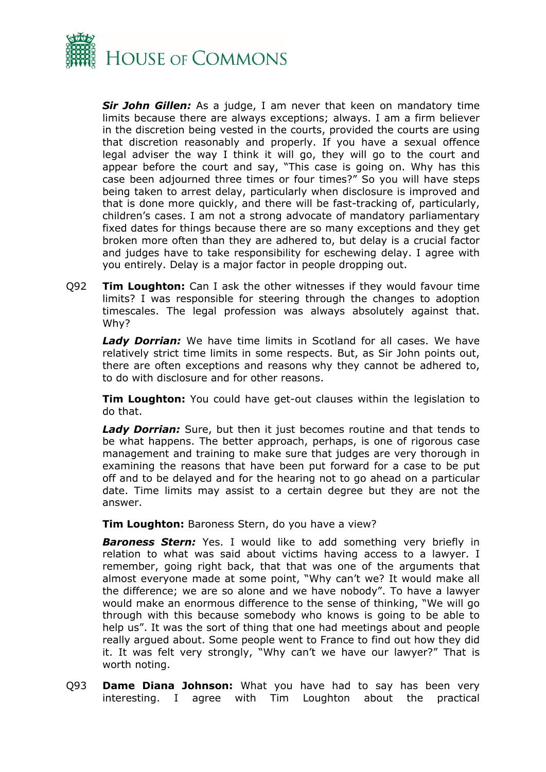

*Sir John Gillen:* As a judge, I am never that keen on mandatory time limits because there are always exceptions; always. I am a firm believer in the discretion being vested in the courts, provided the courts are using that discretion reasonably and properly. If you have a sexual offence legal adviser the way I think it will go, they will go to the court and appear before the court and say, "This case is going on. Why has this case been adjourned three times or four times?" So you will have steps being taken to arrest delay, particularly when disclosure is improved and that is done more quickly, and there will be fast-tracking of, particularly, children's cases. I am not a strong advocate of mandatory parliamentary fixed dates for things because there are so many exceptions and they get broken more often than they are adhered to, but delay is a crucial factor and judges have to take responsibility for eschewing delay. I agree with you entirely. Delay is a major factor in people dropping out.

Q92 **Tim Loughton:** Can I ask the other witnesses if they would favour time limits? I was responsible for steering through the changes to adoption timescales. The legal profession was always absolutely against that. Why?

*Lady Dorrian:* We have time limits in Scotland for all cases. We have relatively strict time limits in some respects. But, as Sir John points out, there are often exceptions and reasons why they cannot be adhered to, to do with disclosure and for other reasons.

**Tim Loughton:** You could have get-out clauses within the legislation to do that.

*Lady Dorrian:* Sure, but then it just becomes routine and that tends to be what happens. The better approach, perhaps, is one of rigorous case management and training to make sure that judges are very thorough in examining the reasons that have been put forward for a case to be put off and to be delayed and for the hearing not to go ahead on a particular date. Time limits may assist to a certain degree but they are not the answer.

**Tim Loughton:** Baroness Stern, do you have a view?

*Baroness Stern:* Yes. I would like to add something very briefly in relation to what was said about victims having access to a lawyer. I remember, going right back, that that was one of the arguments that almost everyone made at some point, "Why can't we? It would make all the difference; we are so alone and we have nobody". To have a lawyer would make an enormous difference to the sense of thinking, "We will go through with this because somebody who knows is going to be able to help us". It was the sort of thing that one had meetings about and people really argued about. Some people went to France to find out how they did it. It was felt very strongly, "Why can't we have our lawyer?" That is worth noting.

Q93 **Dame Diana Johnson:** What you have had to say has been very interesting. I agree with Tim Loughton about the practical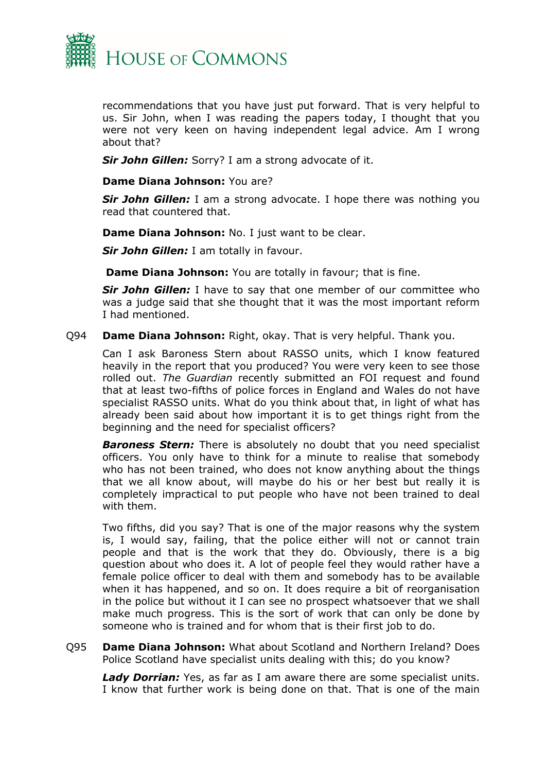

recommendations that you have just put forward. That is very helpful to us. Sir John, when I was reading the papers today, I thought that you were not very keen on having independent legal advice. Am I wrong about that?

*Sir John Gillen:* Sorry? I am a strong advocate of it.

#### **Dame Diana Johnson:** You are?

*Sir John Gillen:* I am a strong advocate. I hope there was nothing you read that countered that.

**Dame Diana Johnson:** No. I just want to be clear.

*Sir John Gillen:* I am totally in favour.

**Dame Diana Johnson:** You are totally in favour; that is fine.

*Sir John Gillen:* I have to say that one member of our committee who was a judge said that she thought that it was the most important reform I had mentioned.

Q94 **Dame Diana Johnson:** Right, okay. That is very helpful. Thank you.

Can I ask Baroness Stern about RASSO units, which I know featured heavily in the report that you produced? You were very keen to see those rolled out. *The Guardian* recently submitted an FOI request and found that at least two-fifths of police forces in England and Wales do not have specialist RASSO units. What do you think about that, in light of what has already been said about how important it is to get things right from the beginning and the need for specialist officers?

*Baroness Stern:* There is absolutely no doubt that you need specialist officers. You only have to think for a minute to realise that somebody who has not been trained, who does not know anything about the things that we all know about, will maybe do his or her best but really it is completely impractical to put people who have not been trained to deal with them.

Two fifths, did you say? That is one of the major reasons why the system is, I would say, failing, that the police either will not or cannot train people and that is the work that they do. Obviously, there is a big question about who does it. A lot of people feel they would rather have a female police officer to deal with them and somebody has to be available when it has happened, and so on. It does require a bit of reorganisation in the police but without it I can see no prospect whatsoever that we shall make much progress. This is the sort of work that can only be done by someone who is trained and for whom that is their first job to do.

Q95 **Dame Diana Johnson:** What about Scotland and Northern Ireland? Does Police Scotland have specialist units dealing with this; do you know?

*Lady Dorrian:* Yes, as far as I am aware there are some specialist units. I know that further work is being done on that. That is one of the main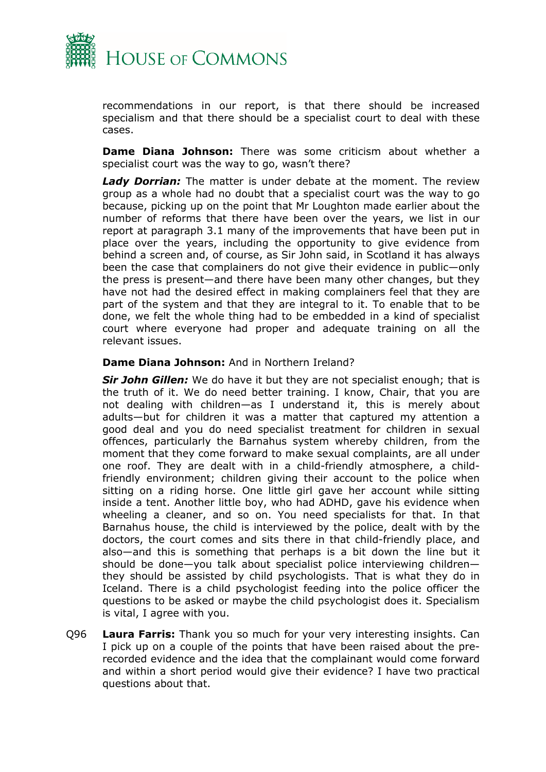

recommendations in our report, is that there should be increased specialism and that there should be a specialist court to deal with these cases.

**Dame Diana Johnson:** There was some criticism about whether a specialist court was the way to go, wasn't there?

*Lady Dorrian:* The matter is under debate at the moment. The review group as a whole had no doubt that a specialist court was the way to go because, picking up on the point that Mr Loughton made earlier about the number of reforms that there have been over the years, we list in our report at paragraph 3.1 many of the improvements that have been put in place over the years, including the opportunity to give evidence from behind a screen and, of course, as Sir John said, in Scotland it has always been the case that complainers do not give their evidence in public—only the press is present—and there have been many other changes, but they have not had the desired effect in making complainers feel that they are part of the system and that they are integral to it. To enable that to be done, we felt the whole thing had to be embedded in a kind of specialist court where everyone had proper and adequate training on all the relevant issues.

#### **Dame Diana Johnson:** And in Northern Ireland?

*Sir John Gillen:* We do have it but they are not specialist enough; that is the truth of it. We do need better training. I know, Chair, that you are not dealing with children—as I understand it, this is merely about adults—but for children it was a matter that captured my attention a good deal and you do need specialist treatment for children in sexual offences, particularly the Barnahus system whereby children, from the moment that they come forward to make sexual complaints, are all under one roof. They are dealt with in a child-friendly atmosphere, a childfriendly environment; children giving their account to the police when sitting on a riding horse. One little girl gave her account while sitting inside a tent. Another little boy, who had ADHD, gave his evidence when wheeling a cleaner, and so on. You need specialists for that. In that Barnahus house, the child is interviewed by the police, dealt with by the doctors, the court comes and sits there in that child-friendly place, and also—and this is something that perhaps is a bit down the line but it should be done—you talk about specialist police interviewing children they should be assisted by child psychologists. That is what they do in Iceland. There is a child psychologist feeding into the police officer the questions to be asked or maybe the child psychologist does it. Specialism is vital, I agree with you.

Q96 **Laura Farris:** Thank you so much for your very interesting insights. Can I pick up on a couple of the points that have been raised about the prerecorded evidence and the idea that the complainant would come forward and within a short period would give their evidence? I have two practical questions about that.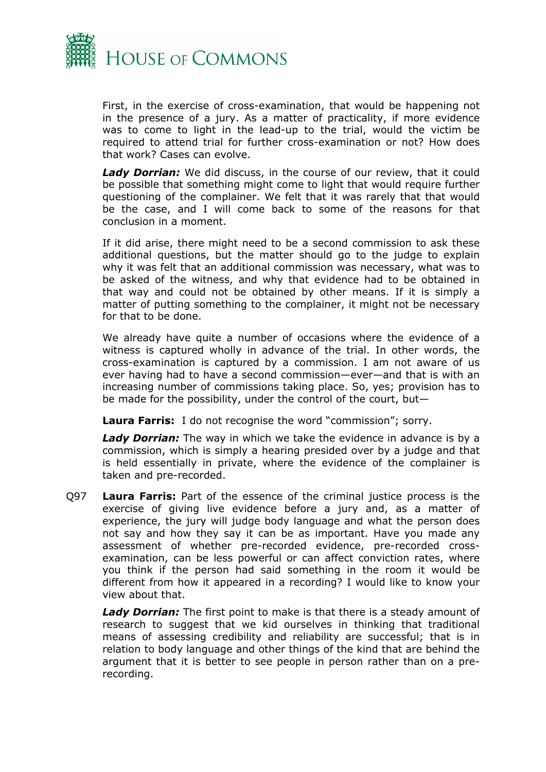

First, in the exercise of cross-examination, that would be happening not in the presence of a jury. As a matter of practicality, if more evidence was to come to light in the lead-up to the trial, would the victim be required to attend trial for further cross-examination or not? How does that work? Cases can evolve.

*Lady Dorrian:* We did discuss, in the course of our review, that it could be possible that something might come to light that would require further questioning of the complainer. We felt that it was rarely that that would be the case, and I will come back to some of the reasons for that conclusion in a moment.

If it did arise, there might need to be a second commission to ask these additional questions, but the matter should go to the judge to explain why it was felt that an additional commission was necessary, what was to be asked of the witness, and why that evidence had to be obtained in that way and could not be obtained by other means. If it is simply a matter of putting something to the complainer, it might not be necessary for that to be done.

We already have quite a number of occasions where the evidence of a witness is captured wholly in advance of the trial. In other words, the cross-examination is captured by a commission. I am not aware of us ever having had to have a second commission—ever—and that is with an increasing number of commissions taking place. So, yes; provision has to be made for the possibility, under the control of the court, but—

**Laura Farris:** I do not recognise the word "commission"; sorry.

*Lady Dorrian:* The way in which we take the evidence in advance is by a commission, which is simply a hearing presided over by a judge and that is held essentially in private, where the evidence of the complainer is taken and pre-recorded.

Q97 **Laura Farris:** Part of the essence of the criminal justice process is the exercise of giving live evidence before a jury and, as a matter of experience, the jury will judge body language and what the person does not say and how they say it can be as important. Have you made any assessment of whether pre-recorded evidence, pre-recorded crossexamination, can be less powerful or can affect conviction rates, where you think if the person had said something in the room it would be different from how it appeared in a recording? I would like to know your view about that.

*Lady Dorrian:* The first point to make is that there is a steady amount of research to suggest that we kid ourselves in thinking that traditional means of assessing credibility and reliability are successful; that is in relation to body language and other things of the kind that are behind the argument that it is better to see people in person rather than on a prerecording.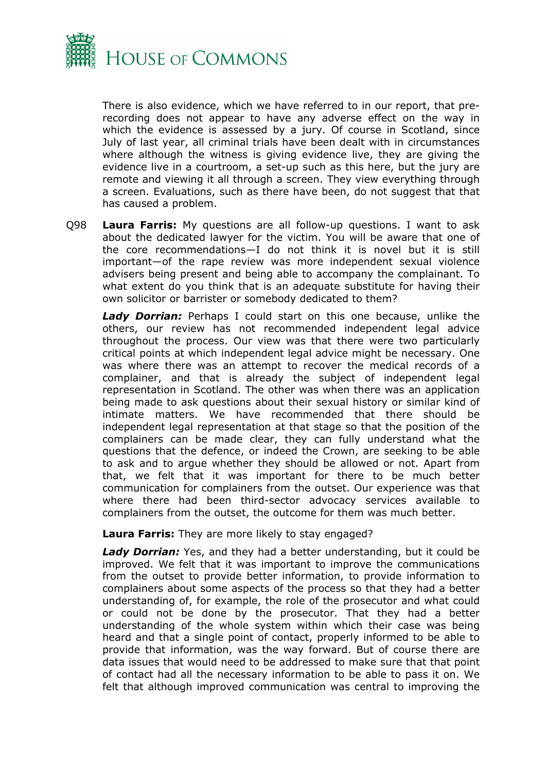

There is also evidence, which we have referred to in our report, that prerecording does not appear to have any adverse effect on the way in which the evidence is assessed by a jury. Of course in Scotland, since July of last year, all criminal trials have been dealt with in circumstances where although the witness is giving evidence live, they are giving the evidence live in a courtroom, a set-up such as this here, but the jury are remote and viewing it all through a screen. They view everything through a screen. Evaluations, such as there have been, do not suggest that that has caused a problem.

Q98 **Laura Farris:** My questions are all follow-up questions. I want to ask about the dedicated lawyer for the victim. You will be aware that one of the core recommendations—I do not think it is novel but it is still important—of the rape review was more independent sexual violence advisers being present and being able to accompany the complainant. To what extent do you think that is an adequate substitute for having their own solicitor or barrister or somebody dedicated to them?

*Lady Dorrian:* Perhaps I could start on this one because, unlike the others, our review has not recommended independent legal advice throughout the process. Our view was that there were two particularly critical points at which independent legal advice might be necessary. One was where there was an attempt to recover the medical records of a complainer, and that is already the subject of independent legal representation in Scotland. The other was when there was an application being made to ask questions about their sexual history or similar kind of intimate matters. We have recommended that there should be independent legal representation at that stage so that the position of the complainers can be made clear, they can fully understand what the questions that the defence, or indeed the Crown, are seeking to be able to ask and to argue whether they should be allowed or not. Apart from that, we felt that it was important for there to be much better communication for complainers from the outset. Our experience was that where there had been third-sector advocacy services available to complainers from the outset, the outcome for them was much better.

**Laura Farris:** They are more likely to stay engaged?

*Lady Dorrian:* Yes, and they had a better understanding, but it could be improved. We felt that it was important to improve the communications from the outset to provide better information, to provide information to complainers about some aspects of the process so that they had a better understanding of, for example, the role of the prosecutor and what could or could not be done by the prosecutor. That they had a better understanding of the whole system within which their case was being heard and that a single point of contact, properly informed to be able to provide that information, was the way forward. But of course there are data issues that would need to be addressed to make sure that that point of contact had all the necessary information to be able to pass it on. We felt that although improved communication was central to improving the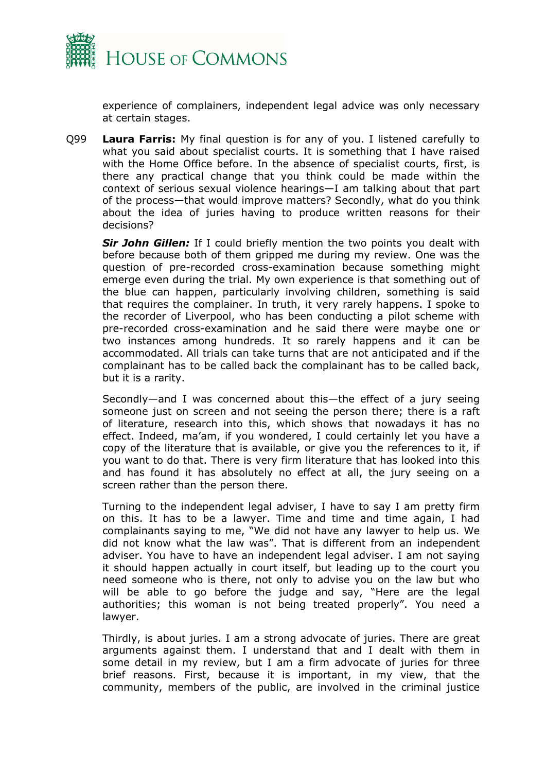

experience of complainers, independent legal advice was only necessary at certain stages.

Q99 **Laura Farris:** My final question is for any of you. I listened carefully to what you said about specialist courts. It is something that I have raised with the Home Office before. In the absence of specialist courts, first, is there any practical change that you think could be made within the context of serious sexual violence hearings—I am talking about that part of the process—that would improve matters? Secondly, what do you think about the idea of juries having to produce written reasons for their decisions?

*Sir John Gillen:* If I could briefly mention the two points you dealt with before because both of them gripped me during my review. One was the question of pre-recorded cross-examination because something might emerge even during the trial. My own experience is that something out of the blue can happen, particularly involving children, something is said that requires the complainer. In truth, it very rarely happens. I spoke to the recorder of Liverpool, who has been conducting a pilot scheme with pre-recorded cross-examination and he said there were maybe one or two instances among hundreds. It so rarely happens and it can be accommodated. All trials can take turns that are not anticipated and if the complainant has to be called back the complainant has to be called back, but it is a rarity.

Secondly—and I was concerned about this—the effect of a jury seeing someone just on screen and not seeing the person there; there is a raft of literature, research into this, which shows that nowadays it has no effect. Indeed, ma'am, if you wondered, I could certainly let you have a copy of the literature that is available, or give you the references to it, if you want to do that. There is very firm literature that has looked into this and has found it has absolutely no effect at all, the jury seeing on a screen rather than the person there.

Turning to the independent legal adviser, I have to say I am pretty firm on this. It has to be a lawyer. Time and time and time again, I had complainants saying to me, "We did not have any lawyer to help us. We did not know what the law was". That is different from an independent adviser. You have to have an independent legal adviser. I am not saying it should happen actually in court itself, but leading up to the court you need someone who is there, not only to advise you on the law but who will be able to go before the judge and say, "Here are the legal authorities; this woman is not being treated properly". You need a lawyer.

Thirdly, is about juries. I am a strong advocate of juries. There are great arguments against them. I understand that and I dealt with them in some detail in my review, but I am a firm advocate of juries for three brief reasons. First, because it is important, in my view, that the community, members of the public, are involved in the criminal justice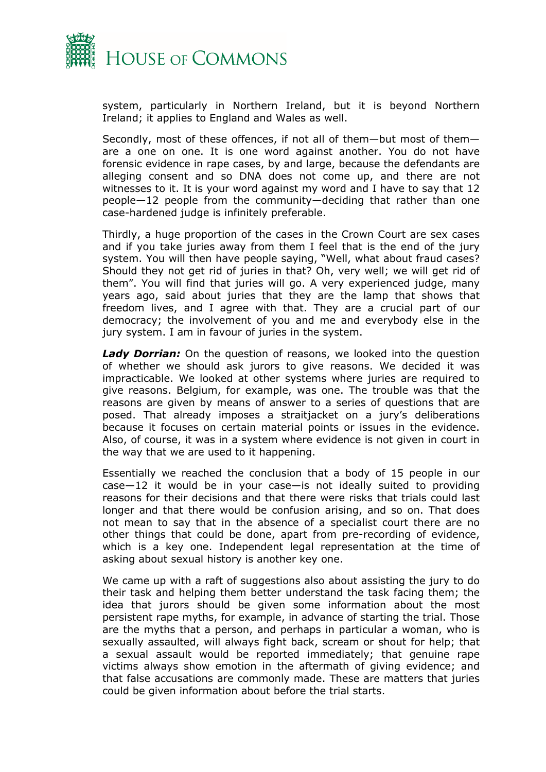

system, particularly in Northern Ireland, but it is beyond Northern Ireland; it applies to England and Wales as well.

Secondly, most of these offences, if not all of them—but most of them are a one on one. It is one word against another. You do not have forensic evidence in rape cases, by and large, because the defendants are alleging consent and so DNA does not come up, and there are not witnesses to it. It is your word against my word and I have to say that 12 people—12 people from the community—deciding that rather than one case-hardened judge is infinitely preferable.

Thirdly, a huge proportion of the cases in the Crown Court are sex cases and if you take juries away from them I feel that is the end of the jury system. You will then have people saying, "Well, what about fraud cases? Should they not get rid of juries in that? Oh, very well; we will get rid of them". You will find that juries will go. A very experienced judge, many years ago, said about juries that they are the lamp that shows that freedom lives, and I agree with that. They are a crucial part of our democracy; the involvement of you and me and everybody else in the jury system. I am in favour of juries in the system.

*Lady Dorrian:* On the question of reasons, we looked into the question of whether we should ask jurors to give reasons. We decided it was impracticable. We looked at other systems where juries are required to give reasons. Belgium, for example, was one. The trouble was that the reasons are given by means of answer to a series of questions that are posed. That already imposes a straitjacket on a jury's deliberations because it focuses on certain material points or issues in the evidence. Also, of course, it was in a system where evidence is not given in court in the way that we are used to it happening.

Essentially we reached the conclusion that a body of 15 people in our case—12 it would be in your case—is not ideally suited to providing reasons for their decisions and that there were risks that trials could last longer and that there would be confusion arising, and so on. That does not mean to say that in the absence of a specialist court there are no other things that could be done, apart from pre-recording of evidence, which is a key one. Independent legal representation at the time of asking about sexual history is another key one.

We came up with a raft of suggestions also about assisting the jury to do their task and helping them better understand the task facing them; the idea that jurors should be given some information about the most persistent rape myths, for example, in advance of starting the trial. Those are the myths that a person, and perhaps in particular a woman, who is sexually assaulted, will always fight back, scream or shout for help; that a sexual assault would be reported immediately; that genuine rape victims always show emotion in the aftermath of giving evidence; and that false accusations are commonly made. These are matters that juries could be given information about before the trial starts.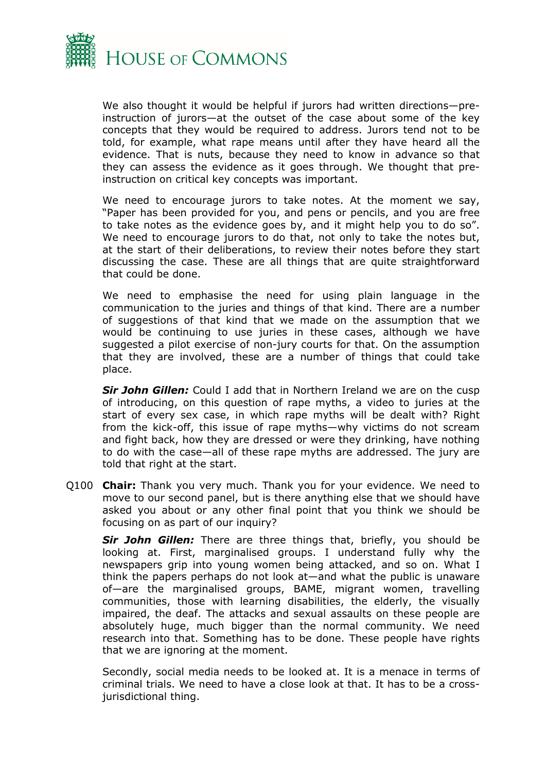

We also thought it would be helpful if jurors had written directions-preinstruction of jurors—at the outset of the case about some of the key concepts that they would be required to address. Jurors tend not to be told, for example, what rape means until after they have heard all the evidence. That is nuts, because they need to know in advance so that they can assess the evidence as it goes through. We thought that preinstruction on critical key concepts was important.

We need to encourage jurors to take notes. At the moment we say, "Paper has been provided for you, and pens or pencils, and you are free to take notes as the evidence goes by, and it might help you to do so". We need to encourage jurors to do that, not only to take the notes but, at the start of their deliberations, to review their notes before they start discussing the case. These are all things that are quite straightforward that could be done.

We need to emphasise the need for using plain language in the communication to the juries and things of that kind. There are a number of suggestions of that kind that we made on the assumption that we would be continuing to use juries in these cases, although we have suggested a pilot exercise of non-jury courts for that. On the assumption that they are involved, these are a number of things that could take place.

*Sir John Gillen:* Could I add that in Northern Ireland we are on the cusp of introducing, on this question of rape myths, a video to juries at the start of every sex case, in which rape myths will be dealt with? Right from the kick-off, this issue of rape myths—why victims do not scream and fight back, how they are dressed or were they drinking, have nothing to do with the case—all of these rape myths are addressed. The jury are told that right at the start.

Q100 **Chair:** Thank you very much. Thank you for your evidence. We need to move to our second panel, but is there anything else that we should have asked you about or any other final point that you think we should be focusing on as part of our inquiry?

*Sir John Gillen:* There are three things that, briefly, you should be looking at. First, marginalised groups. I understand fully why the newspapers grip into young women being attacked, and so on. What I think the papers perhaps do not look at—and what the public is unaware of—are the marginalised groups, BAME, migrant women, travelling communities, those with learning disabilities, the elderly, the visually impaired, the deaf. The attacks and sexual assaults on these people are absolutely huge, much bigger than the normal community. We need research into that. Something has to be done. These people have rights that we are ignoring at the moment.

Secondly, social media needs to be looked at. It is a menace in terms of criminal trials. We need to have a close look at that. It has to be a crossjurisdictional thing.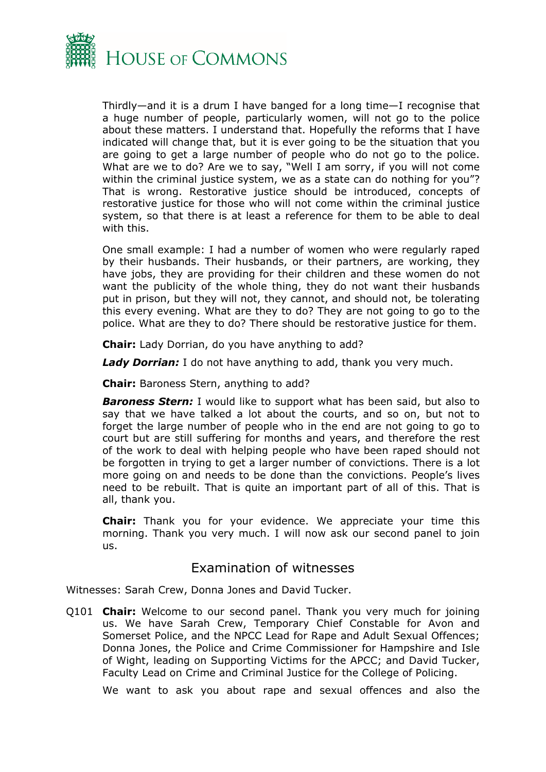

Thirdly—and it is a drum I have banged for a long time—I recognise that a huge number of people, particularly women, will not go to the police about these matters. I understand that. Hopefully the reforms that I have indicated will change that, but it is ever going to be the situation that you are going to get a large number of people who do not go to the police. What are we to do? Are we to say, "Well I am sorry, if you will not come within the criminal justice system, we as a state can do nothing for you"? That is wrong. Restorative justice should be introduced, concepts of restorative justice for those who will not come within the criminal justice system, so that there is at least a reference for them to be able to deal with this.

One small example: I had a number of women who were regularly raped by their husbands. Their husbands, or their partners, are working, they have jobs, they are providing for their children and these women do not want the publicity of the whole thing, they do not want their husbands put in prison, but they will not, they cannot, and should not, be tolerating this every evening. What are they to do? They are not going to go to the police. What are they to do? There should be restorative justice for them.

**Chair:** Lady Dorrian, do you have anything to add?

*Lady Dorrian:* I do not have anything to add, thank you very much.

**Chair:** Baroness Stern, anything to add?

*Baroness Stern:* I would like to support what has been said, but also to say that we have talked a lot about the courts, and so on, but not to forget the large number of people who in the end are not going to go to court but are still suffering for months and years, and therefore the rest of the work to deal with helping people who have been raped should not be forgotten in trying to get a larger number of convictions. There is a lot more going on and needs to be done than the convictions. People's lives need to be rebuilt. That is quite an important part of all of this. That is all, thank you.

**Chair:** Thank you for your evidence. We appreciate your time this morning. Thank you very much. I will now ask our second panel to join us.

### Examination of witnesses

Witnesses: Sarah Crew, Donna Jones and David Tucker.

Q101 **Chair:** Welcome to our second panel. Thank you very much for joining us. We have Sarah Crew, Temporary Chief Constable for Avon and Somerset Police, and the NPCC Lead for Rape and Adult Sexual Offences; Donna Jones, the Police and Crime Commissioner for Hampshire and Isle of Wight, leading on Supporting Victims for the APCC; and David Tucker, Faculty Lead on Crime and Criminal Justice for the College of Policing.

We want to ask you about rape and sexual offences and also the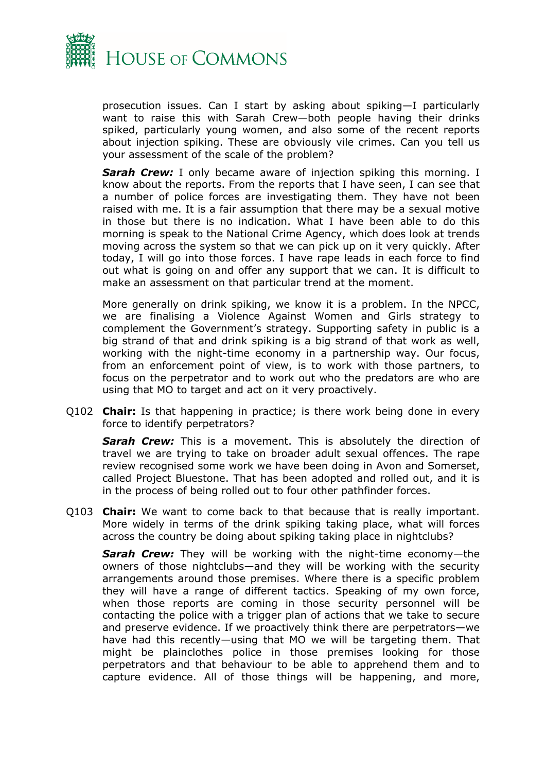

prosecution issues. Can I start by asking about spiking—I particularly want to raise this with Sarah Crew—both people having their drinks spiked, particularly young women, and also some of the recent reports about injection spiking. These are obviously vile crimes. Can you tell us your assessment of the scale of the problem?

**Sarah Crew:** I only became aware of injection spiking this morning. I know about the reports. From the reports that I have seen, I can see that a number of police forces are investigating them. They have not been raised with me. It is a fair assumption that there may be a sexual motive in those but there is no indication. What I have been able to do this morning is speak to the National Crime Agency, which does look at trends moving across the system so that we can pick up on it very quickly. After today, I will go into those forces. I have rape leads in each force to find out what is going on and offer any support that we can. It is difficult to make an assessment on that particular trend at the moment.

More generally on drink spiking, we know it is a problem. In the NPCC, we are finalising a Violence Against Women and Girls strategy to complement the Government's strategy. Supporting safety in public is a big strand of that and drink spiking is a big strand of that work as well, working with the night-time economy in a partnership way. Our focus, from an enforcement point of view, is to work with those partners, to focus on the perpetrator and to work out who the predators are who are using that MO to target and act on it very proactively.

Q102 **Chair:** Is that happening in practice; is there work being done in every force to identify perpetrators?

**Sarah Crew:** This is a movement. This is absolutely the direction of travel we are trying to take on broader adult sexual offences. The rape review recognised some work we have been doing in Avon and Somerset, called Project Bluestone. That has been adopted and rolled out, and it is in the process of being rolled out to four other pathfinder forces.

Q103 **Chair:** We want to come back to that because that is really important. More widely in terms of the drink spiking taking place, what will forces across the country be doing about spiking taking place in nightclubs?

*Sarah Crew:* They will be working with the night-time economy—the owners of those nightclubs—and they will be working with the security arrangements around those premises. Where there is a specific problem they will have a range of different tactics. Speaking of my own force, when those reports are coming in those security personnel will be contacting the police with a trigger plan of actions that we take to secure and preserve evidence. If we proactively think there are perpetrators—we have had this recently—using that MO we will be targeting them. That might be plainclothes police in those premises looking for those perpetrators and that behaviour to be able to apprehend them and to capture evidence. All of those things will be happening, and more,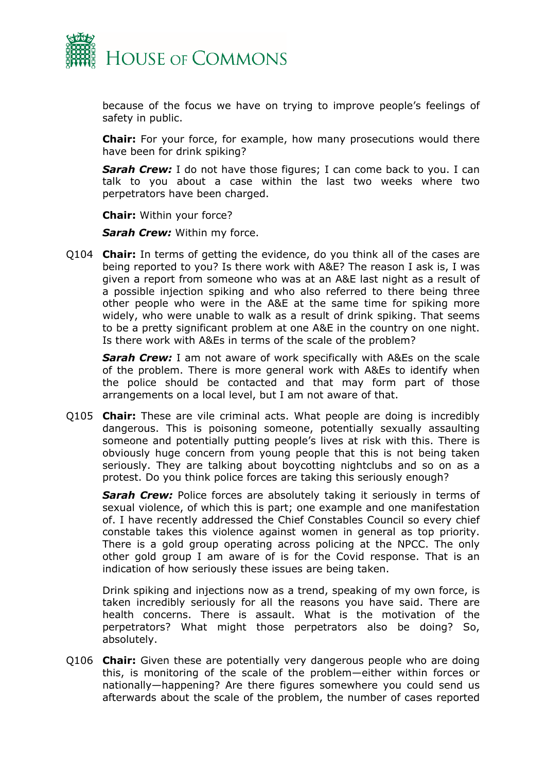

because of the focus we have on trying to improve people's feelings of safety in public.

**Chair:** For your force, for example, how many prosecutions would there have been for drink spiking?

*Sarah Crew:* I do not have those figures; I can come back to you. I can talk to you about a case within the last two weeks where two perpetrators have been charged.

**Chair:** Within your force?

*Sarah Crew:* Within my force.

Q104 **Chair:** In terms of getting the evidence, do you think all of the cases are being reported to you? Is there work with A&E? The reason I ask is, I was given a report from someone who was at an A&E last night as a result of a possible injection spiking and who also referred to there being three other people who were in the A&E at the same time for spiking more widely, who were unable to walk as a result of drink spiking. That seems to be a pretty significant problem at one A&E in the country on one night. Is there work with A&Es in terms of the scale of the problem?

*Sarah Crew:* I am not aware of work specifically with A&Es on the scale of the problem. There is more general work with A&Es to identify when the police should be contacted and that may form part of those arrangements on a local level, but I am not aware of that.

Q105 **Chair:** These are vile criminal acts. What people are doing is incredibly dangerous. This is poisoning someone, potentially sexually assaulting someone and potentially putting people's lives at risk with this. There is obviously huge concern from young people that this is not being taken seriously. They are talking about boycotting nightclubs and so on as a protest. Do you think police forces are taking this seriously enough?

**Sarah Crew:** Police forces are absolutely taking it seriously in terms of sexual violence, of which this is part; one example and one manifestation of. I have recently addressed the Chief Constables Council so every chief constable takes this violence against women in general as top priority. There is a gold group operating across policing at the NPCC. The only other gold group I am aware of is for the Covid response. That is an indication of how seriously these issues are being taken.

Drink spiking and injections now as a trend, speaking of my own force, is taken incredibly seriously for all the reasons you have said. There are health concerns. There is assault. What is the motivation of the perpetrators? What might those perpetrators also be doing? So, absolutely.

Q106 **Chair:** Given these are potentially very dangerous people who are doing this, is monitoring of the scale of the problem—either within forces or nationally—happening? Are there figures somewhere you could send us afterwards about the scale of the problem, the number of cases reported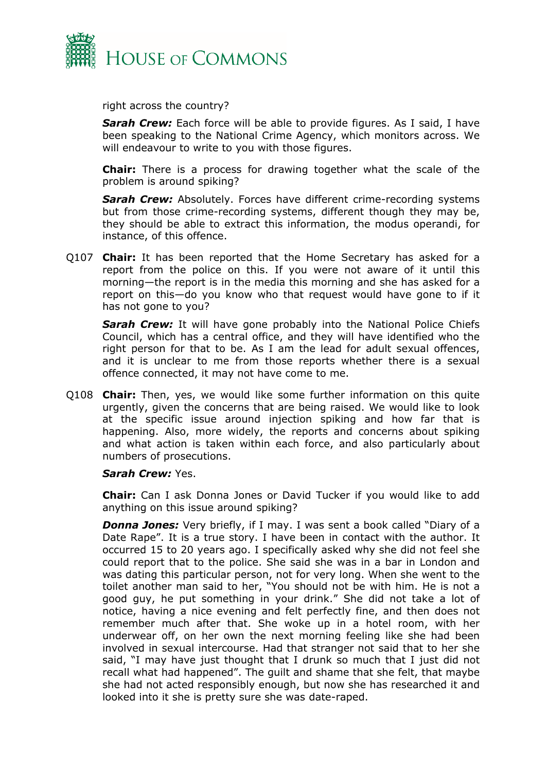

right across the country?

*Sarah Crew:* Each force will be able to provide figures. As I said, I have been speaking to the National Crime Agency, which monitors across. We will endeavour to write to you with those figures.

**Chair:** There is a process for drawing together what the scale of the problem is around spiking?

*Sarah Crew:* Absolutely. Forces have different crime-recording systems but from those crime-recording systems, different though they may be, they should be able to extract this information, the modus operandi, for instance, of this offence.

Q107 **Chair:** It has been reported that the Home Secretary has asked for a report from the police on this. If you were not aware of it until this morning—the report is in the media this morning and she has asked for a report on this—do you know who that request would have gone to if it has not gone to you?

*Sarah Crew:* It will have gone probably into the National Police Chiefs Council, which has a central office, and they will have identified who the right person for that to be. As I am the lead for adult sexual offences, and it is unclear to me from those reports whether there is a sexual offence connected, it may not have come to me.

Q108 **Chair:** Then, yes, we would like some further information on this quite urgently, given the concerns that are being raised. We would like to look at the specific issue around injection spiking and how far that is happening. Also, more widely, the reports and concerns about spiking and what action is taken within each force, and also particularly about numbers of prosecutions.

#### *Sarah Crew:* Yes.

**Chair:** Can I ask Donna Jones or David Tucker if you would like to add anything on this issue around spiking?

*Donna Jones:* Very briefly, if I may. I was sent a book called "Diary of a Date Rape". It is a true story. I have been in contact with the author. It occurred 15 to 20 years ago. I specifically asked why she did not feel she could report that to the police. She said she was in a bar in London and was dating this particular person, not for very long. When she went to the toilet another man said to her, "You should not be with him. He is not a good guy, he put something in your drink." She did not take a lot of notice, having a nice evening and felt perfectly fine, and then does not remember much after that. She woke up in a hotel room, with her underwear off, on her own the next morning feeling like she had been involved in sexual intercourse. Had that stranger not said that to her she said, "I may have just thought that I drunk so much that I just did not recall what had happened". The guilt and shame that she felt, that maybe she had not acted responsibly enough, but now she has researched it and looked into it she is pretty sure she was date-raped.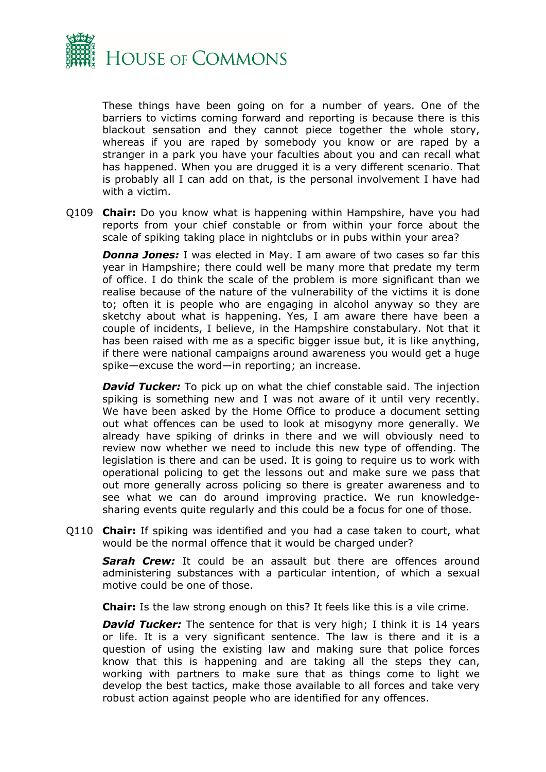

These things have been going on for a number of years. One of the barriers to victims coming forward and reporting is because there is this blackout sensation and they cannot piece together the whole story, whereas if you are raped by somebody you know or are raped by a stranger in a park you have your faculties about you and can recall what has happened. When you are drugged it is a very different scenario. That is probably all I can add on that, is the personal involvement I have had with a victim.

Q109 **Chair:** Do you know what is happening within Hampshire, have you had reports from your chief constable or from within your force about the scale of spiking taking place in nightclubs or in pubs within your area?

*Donna Jones:* I was elected in May. I am aware of two cases so far this year in Hampshire; there could well be many more that predate my term of office. I do think the scale of the problem is more significant than we realise because of the nature of the vulnerability of the victims it is done to; often it is people who are engaging in alcohol anyway so they are sketchy about what is happening. Yes, I am aware there have been a couple of incidents, I believe, in the Hampshire constabulary. Not that it has been raised with me as a specific bigger issue but, it is like anything, if there were national campaigns around awareness you would get a huge spike—excuse the word—in reporting; an increase.

*David Tucker:* To pick up on what the chief constable said. The injection spiking is something new and I was not aware of it until very recently. We have been asked by the Home Office to produce a document setting out what offences can be used to look at misogyny more generally. We already have spiking of drinks in there and we will obviously need to review now whether we need to include this new type of offending. The legislation is there and can be used. It is going to require us to work with operational policing to get the lessons out and make sure we pass that out more generally across policing so there is greater awareness and to see what we can do around improving practice. We run knowledgesharing events quite regularly and this could be a focus for one of those.

Q110 **Chair:** If spiking was identified and you had a case taken to court, what would be the normal offence that it would be charged under?

**Sarah Crew:** It could be an assault but there are offences around administering substances with a particular intention, of which a sexual motive could be one of those.

**Chair:** Is the law strong enough on this? It feels like this is a vile crime.

**David Tucker:** The sentence for that is very high; I think it is 14 years or life. It is a very significant sentence. The law is there and it is a question of using the existing law and making sure that police forces know that this is happening and are taking all the steps they can, working with partners to make sure that as things come to light we develop the best tactics, make those available to all forces and take very robust action against people who are identified for any offences.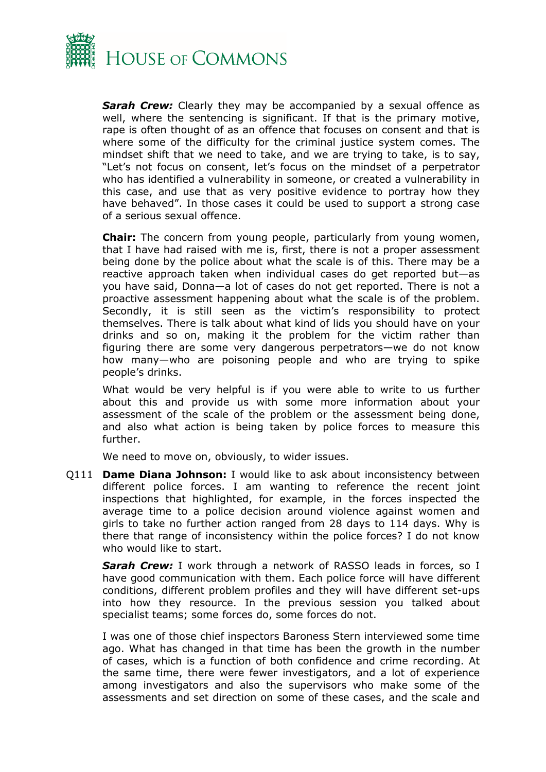

*Sarah Crew:* Clearly they may be accompanied by a sexual offence as well, where the sentencing is significant. If that is the primary motive, rape is often thought of as an offence that focuses on consent and that is where some of the difficulty for the criminal justice system comes. The mindset shift that we need to take, and we are trying to take, is to say, "Let's not focus on consent, let's focus on the mindset of a perpetrator who has identified a vulnerability in someone, or created a vulnerability in this case, and use that as very positive evidence to portray how they have behaved". In those cases it could be used to support a strong case of a serious sexual offence.

**Chair:** The concern from young people, particularly from young women, that I have had raised with me is, first, there is not a proper assessment being done by the police about what the scale is of this. There may be a reactive approach taken when individual cases do get reported but—as you have said, Donna—a lot of cases do not get reported. There is not a proactive assessment happening about what the scale is of the problem. Secondly, it is still seen as the victim's responsibility to protect themselves. There is talk about what kind of lids you should have on your drinks and so on, making it the problem for the victim rather than figuring there are some very dangerous perpetrators—we do not know how many—who are poisoning people and who are trying to spike people's drinks.

What would be very helpful is if you were able to write to us further about this and provide us with some more information about your assessment of the scale of the problem or the assessment being done, and also what action is being taken by police forces to measure this further.

We need to move on, obviously, to wider issues.

Q111 **Dame Diana Johnson:** I would like to ask about inconsistency between different police forces. I am wanting to reference the recent joint inspections that highlighted, for example, in the forces inspected the average time to a police decision around violence against women and girls to take no further action ranged from 28 days to 114 days. Why is there that range of inconsistency within the police forces? I do not know who would like to start.

*Sarah Crew:* I work through a network of RASSO leads in forces, so I have good communication with them. Each police force will have different conditions, different problem profiles and they will have different set-ups into how they resource. In the previous session you talked about specialist teams; some forces do, some forces do not.

I was one of those chief inspectors Baroness Stern interviewed some time ago. What has changed in that time has been the growth in the number of cases, which is a function of both confidence and crime recording. At the same time, there were fewer investigators, and a lot of experience among investigators and also the supervisors who make some of the assessments and set direction on some of these cases, and the scale and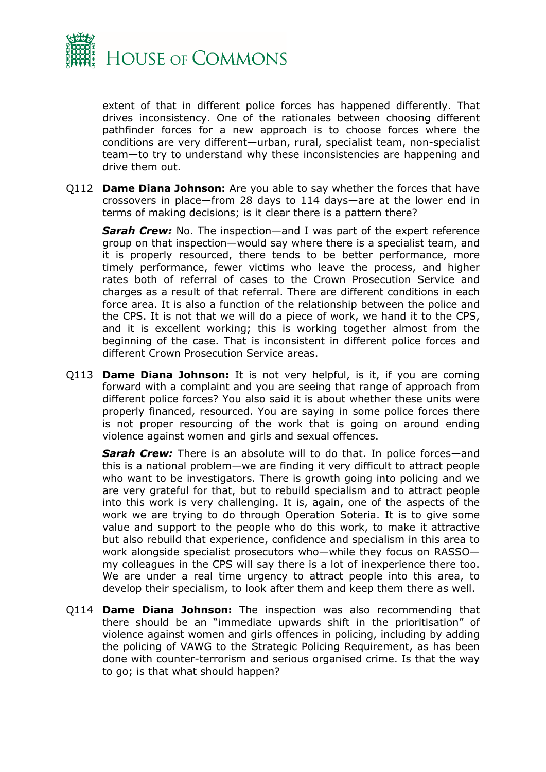

extent of that in different police forces has happened differently. That drives inconsistency. One of the rationales between choosing different pathfinder forces for a new approach is to choose forces where the conditions are very different—urban, rural, specialist team, non-specialist team—to try to understand why these inconsistencies are happening and drive them out.

Q112 **Dame Diana Johnson:** Are you able to say whether the forces that have crossovers in place—from 28 days to 114 days—are at the lower end in terms of making decisions; is it clear there is a pattern there?

*Sarah Crew:* No. The inspection—and I was part of the expert reference group on that inspection—would say where there is a specialist team, and it is properly resourced, there tends to be better performance, more timely performance, fewer victims who leave the process, and higher rates both of referral of cases to the Crown Prosecution Service and charges as a result of that referral. There are different conditions in each force area. It is also a function of the relationship between the police and the CPS. It is not that we will do a piece of work, we hand it to the CPS, and it is excellent working; this is working together almost from the beginning of the case. That is inconsistent in different police forces and different Crown Prosecution Service areas.

Q113 **Dame Diana Johnson:** It is not very helpful, is it, if you are coming forward with a complaint and you are seeing that range of approach from different police forces? You also said it is about whether these units were properly financed, resourced. You are saying in some police forces there is not proper resourcing of the work that is going on around ending violence against women and girls and sexual offences.

*Sarah Crew:* There is an absolute will to do that. In police forces—and this is a national problem—we are finding it very difficult to attract people who want to be investigators. There is growth going into policing and we are very grateful for that, but to rebuild specialism and to attract people into this work is very challenging. It is, again, one of the aspects of the work we are trying to do through Operation Soteria. It is to give some value and support to the people who do this work, to make it attractive but also rebuild that experience, confidence and specialism in this area to work alongside specialist prosecutors who—while they focus on RASSO my colleagues in the CPS will say there is a lot of inexperience there too. We are under a real time urgency to attract people into this area, to develop their specialism, to look after them and keep them there as well.

Q114 **Dame Diana Johnson:** The inspection was also recommending that there should be an "immediate upwards shift in the prioritisation" of violence against women and girls offences in policing, including by adding the policing of VAWG to the Strategic Policing Requirement, as has been done with counter-terrorism and serious organised crime. Is that the way to go; is that what should happen?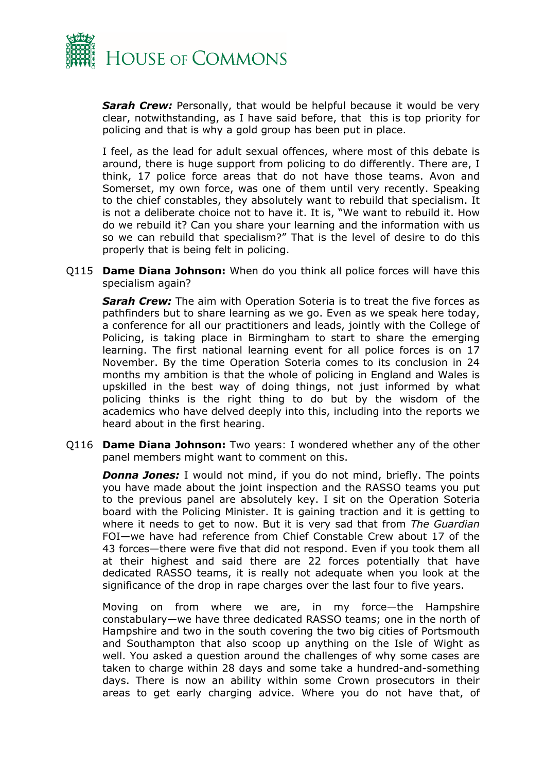

*Sarah Crew:* Personally, that would be helpful because it would be very clear, notwithstanding, as I have said before, that this is top priority for policing and that is why a gold group has been put in place.

I feel, as the lead for adult sexual offences, where most of this debate is around, there is huge support from policing to do differently. There are, I think, 17 police force areas that do not have those teams. Avon and Somerset, my own force, was one of them until very recently. Speaking to the chief constables, they absolutely want to rebuild that specialism. It is not a deliberate choice not to have it. It is, "We want to rebuild it. How do we rebuild it? Can you share your learning and the information with us so we can rebuild that specialism?" That is the level of desire to do this properly that is being felt in policing.

Q115 **Dame Diana Johnson:** When do you think all police forces will have this specialism again?

**Sarah Crew:** The aim with Operation Soteria is to treat the five forces as pathfinders but to share learning as we go. Even as we speak here today, a conference for all our practitioners and leads, jointly with the College of Policing, is taking place in Birmingham to start to share the emerging learning. The first national learning event for all police forces is on 17 November. By the time Operation Soteria comes to its conclusion in 24 months my ambition is that the whole of policing in England and Wales is upskilled in the best way of doing things, not just informed by what policing thinks is the right thing to do but by the wisdom of the academics who have delved deeply into this, including into the reports we heard about in the first hearing.

Q116 **Dame Diana Johnson:** Two years: I wondered whether any of the other panel members might want to comment on this.

*Donna Jones:* I would not mind, if you do not mind, briefly. The points you have made about the joint inspection and the RASSO teams you put to the previous panel are absolutely key. I sit on the Operation Soteria board with the Policing Minister. It is gaining traction and it is getting to where it needs to get to now. But it is very sad that from *The Guardian* FOI—we have had reference from Chief Constable Crew about 17 of the 43 forces—there were five that did not respond. Even if you took them all at their highest and said there are 22 forces potentially that have dedicated RASSO teams, it is really not adequate when you look at the significance of the drop in rape charges over the last four to five years.

Moving on from where we are, in my force—the Hampshire constabulary—we have three dedicated RASSO teams; one in the north of Hampshire and two in the south covering the two big cities of Portsmouth and Southampton that also scoop up anything on the Isle of Wight as well. You asked a question around the challenges of why some cases are taken to charge within 28 days and some take a hundred-and-something days. There is now an ability within some Crown prosecutors in their areas to get early charging advice. Where you do not have that, of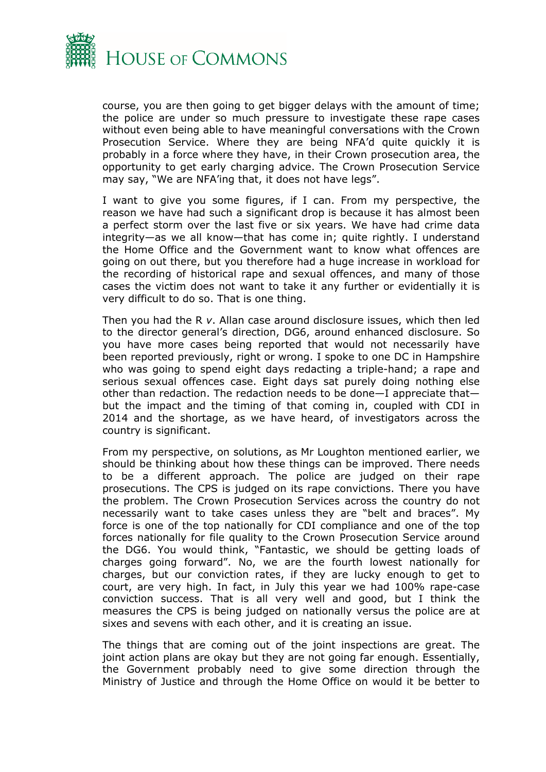

course, you are then going to get bigger delays with the amount of time; the police are under so much pressure to investigate these rape cases without even being able to have meaningful conversations with the Crown Prosecution Service. Where they are being NFA'd quite quickly it is probably in a force where they have, in their Crown prosecution area, the opportunity to get early charging advice. The Crown Prosecution Service may say, "We are NFA'ing that, it does not have legs".

I want to give you some figures, if I can. From my perspective, the reason we have had such a significant drop is because it has almost been a perfect storm over the last five or six years. We have had crime data integrity—as we all know—that has come in; quite rightly. I understand the Home Office and the Government want to know what offences are going on out there, but you therefore had a huge increase in workload for the recording of historical rape and sexual offences, and many of those cases the victim does not want to take it any further or evidentially it is very difficult to do so. That is one thing.

Then you had the R *v*. Allan case around disclosure issues, which then led to the director general's direction, DG6, around enhanced disclosure. So you have more cases being reported that would not necessarily have been reported previously, right or wrong. I spoke to one DC in Hampshire who was going to spend eight days redacting a triple-hand; a rape and serious sexual offences case. Eight days sat purely doing nothing else other than redaction. The redaction needs to be done—I appreciate that but the impact and the timing of that coming in, coupled with CDI in 2014 and the shortage, as we have heard, of investigators across the country is significant.

From my perspective, on solutions, as Mr Loughton mentioned earlier, we should be thinking about how these things can be improved. There needs to be a different approach. The police are judged on their rape prosecutions. The CPS is judged on its rape convictions. There you have the problem. The Crown Prosecution Services across the country do not necessarily want to take cases unless they are "belt and braces". My force is one of the top nationally for CDI compliance and one of the top forces nationally for file quality to the Crown Prosecution Service around the DG6. You would think, "Fantastic, we should be getting loads of charges going forward". No, we are the fourth lowest nationally for charges, but our conviction rates, if they are lucky enough to get to court, are very high. In fact, in July this year we had 100% rape-case conviction success. That is all very well and good, but I think the measures the CPS is being judged on nationally versus the police are at sixes and sevens with each other, and it is creating an issue.

The things that are coming out of the joint inspections are great. The joint action plans are okay but they are not going far enough. Essentially, the Government probably need to give some direction through the Ministry of Justice and through the Home Office on would it be better to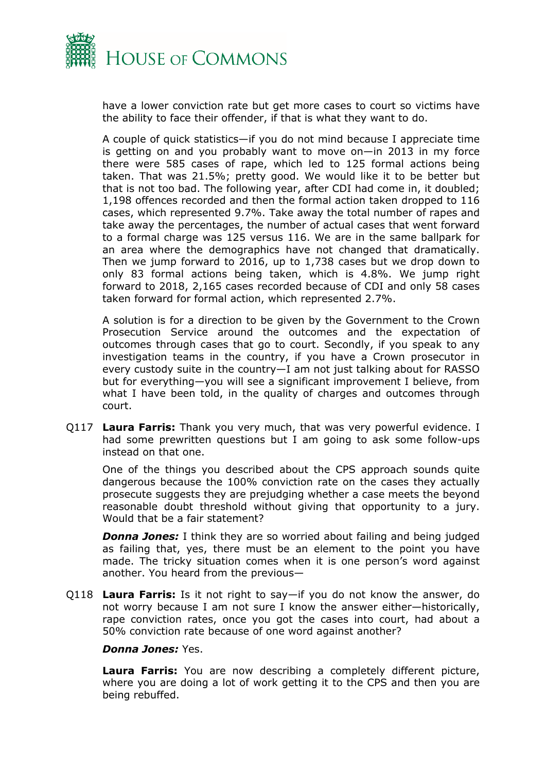

have a lower conviction rate but get more cases to court so victims have the ability to face their offender, if that is what they want to do.

A couple of quick statistics—if you do not mind because I appreciate time is getting on and you probably want to move on—in 2013 in my force there were 585 cases of rape, which led to 125 formal actions being taken. That was 21.5%; pretty good. We would like it to be better but that is not too bad. The following year, after CDI had come in, it doubled; 1,198 offences recorded and then the formal action taken dropped to 116 cases, which represented 9.7%. Take away the total number of rapes and take away the percentages, the number of actual cases that went forward to a formal charge was 125 versus 116. We are in the same ballpark for an area where the demographics have not changed that dramatically. Then we jump forward to 2016, up to 1,738 cases but we drop down to only 83 formal actions being taken, which is 4.8%. We jump right forward to 2018, 2,165 cases recorded because of CDI and only 58 cases taken forward for formal action, which represented 2.7%.

A solution is for a direction to be given by the Government to the Crown Prosecution Service around the outcomes and the expectation of outcomes through cases that go to court. Secondly, if you speak to any investigation teams in the country, if you have a Crown prosecutor in every custody suite in the country—I am not just talking about for RASSO but for everything—you will see a significant improvement I believe, from what I have been told, in the quality of charges and outcomes through court.

Q117 **Laura Farris:** Thank you very much, that was very powerful evidence. I had some prewritten questions but I am going to ask some follow-ups instead on that one.

One of the things you described about the CPS approach sounds quite dangerous because the 100% conviction rate on the cases they actually prosecute suggests they are prejudging whether a case meets the beyond reasonable doubt threshold without giving that opportunity to a jury. Would that be a fair statement?

*Donna Jones:* I think they are so worried about failing and being judged as failing that, yes, there must be an element to the point you have made. The tricky situation comes when it is one person's word against another. You heard from the previous—

Q118 **Laura Farris:** Is it not right to say—if you do not know the answer, do not worry because I am not sure I know the answer either—historically, rape conviction rates, once you got the cases into court, had about a 50% conviction rate because of one word against another?

#### *Donna Jones:* Yes.

**Laura Farris:** You are now describing a completely different picture, where you are doing a lot of work getting it to the CPS and then you are being rebuffed.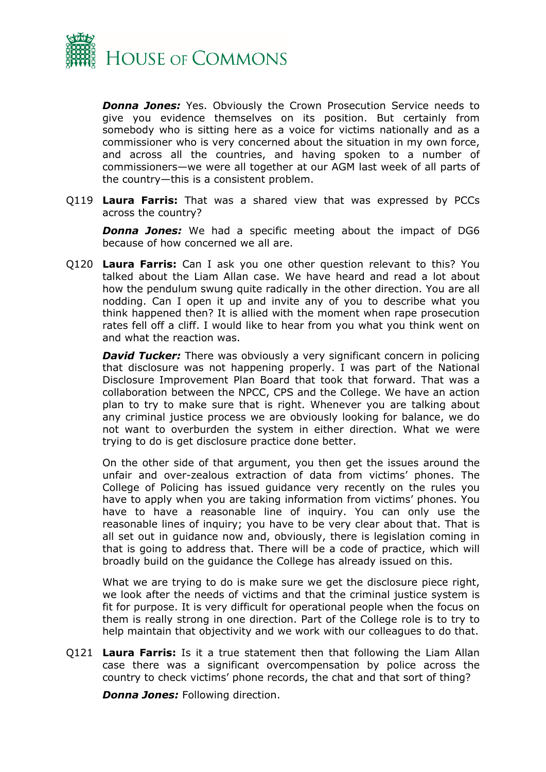

*Donna Jones:* Yes. Obviously the Crown Prosecution Service needs to give you evidence themselves on its position. But certainly from somebody who is sitting here as a voice for victims nationally and as a commissioner who is very concerned about the situation in my own force, and across all the countries, and having spoken to a number of commissioners—we were all together at our AGM last week of all parts of the country—this is a consistent problem.

Q119 **Laura Farris:** That was a shared view that was expressed by PCCs across the country?

*Donna Jones:* We had a specific meeting about the impact of DG6 because of how concerned we all are.

Q120 **Laura Farris:** Can I ask you one other question relevant to this? You talked about the Liam Allan case. We have heard and read a lot about how the pendulum swung quite radically in the other direction. You are all nodding. Can I open it up and invite any of you to describe what you think happened then? It is allied with the moment when rape prosecution rates fell off a cliff. I would like to hear from you what you think went on and what the reaction was.

**David Tucker:** There was obviously a very significant concern in policing that disclosure was not happening properly. I was part of the National Disclosure Improvement Plan Board that took that forward. That was a collaboration between the NPCC, CPS and the College. We have an action plan to try to make sure that is right. Whenever you are talking about any criminal justice process we are obviously looking for balance, we do not want to overburden the system in either direction. What we were trying to do is get disclosure practice done better.

On the other side of that argument, you then get the issues around the unfair and over-zealous extraction of data from victims' phones. The College of Policing has issued guidance very recently on the rules you have to apply when you are taking information from victims' phones. You have to have a reasonable line of inquiry. You can only use the reasonable lines of inquiry; you have to be very clear about that. That is all set out in guidance now and, obviously, there is legislation coming in that is going to address that. There will be a code of practice, which will broadly build on the guidance the College has already issued on this.

What we are trying to do is make sure we get the disclosure piece right, we look after the needs of victims and that the criminal justice system is fit for purpose. It is very difficult for operational people when the focus on them is really strong in one direction. Part of the College role is to try to help maintain that objectivity and we work with our colleagues to do that.

Q121 **Laura Farris:** Is it a true statement then that following the Liam Allan case there was a significant overcompensation by police across the country to check victims' phone records, the chat and that sort of thing?

*Donna Jones:* Following direction.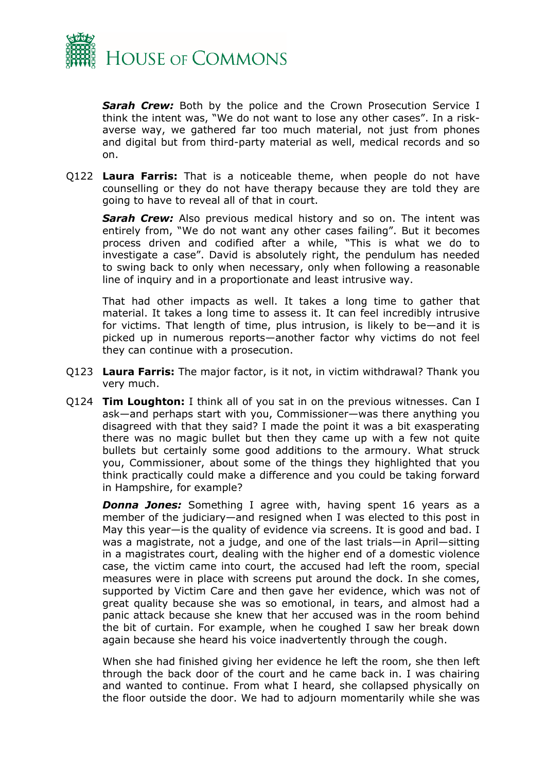

**Sarah Crew:** Both by the police and the Crown Prosecution Service I think the intent was, "We do not want to lose any other cases". In a riskaverse way, we gathered far too much material, not just from phones and digital but from third-party material as well, medical records and so on.

Q122 **Laura Farris:** That is a noticeable theme, when people do not have counselling or they do not have therapy because they are told they are going to have to reveal all of that in court.

*Sarah Crew:* Also previous medical history and so on. The intent was entirely from, "We do not want any other cases failing". But it becomes process driven and codified after a while, "This is what we do to investigate a case". David is absolutely right, the pendulum has needed to swing back to only when necessary, only when following a reasonable line of inquiry and in a proportionate and least intrusive way.

That had other impacts as well. It takes a long time to gather that material. It takes a long time to assess it. It can feel incredibly intrusive for victims. That length of time, plus intrusion, is likely to be—and it is picked up in numerous reports—another factor why victims do not feel they can continue with a prosecution.

- Q123 **Laura Farris:** The major factor, is it not, in victim withdrawal? Thank you very much.
- Q124 **Tim Loughton:** I think all of you sat in on the previous witnesses. Can I ask—and perhaps start with you, Commissioner—was there anything you disagreed with that they said? I made the point it was a bit exasperating there was no magic bullet but then they came up with a few not quite bullets but certainly some good additions to the armoury. What struck you, Commissioner, about some of the things they highlighted that you think practically could make a difference and you could be taking forward in Hampshire, for example?

**Donna Jones:** Something I agree with, having spent 16 years as a member of the judiciary—and resigned when I was elected to this post in May this year—is the quality of evidence via screens. It is good and bad. I was a magistrate, not a judge, and one of the last trials—in April—sitting in a magistrates court, dealing with the higher end of a domestic violence case, the victim came into court, the accused had left the room, special measures were in place with screens put around the dock. In she comes, supported by Victim Care and then gave her evidence, which was not of great quality because she was so emotional, in tears, and almost had a panic attack because she knew that her accused was in the room behind the bit of curtain. For example, when he coughed I saw her break down again because she heard his voice inadvertently through the cough.

When she had finished giving her evidence he left the room, she then left through the back door of the court and he came back in. I was chairing and wanted to continue. From what I heard, she collapsed physically on the floor outside the door. We had to adjourn momentarily while she was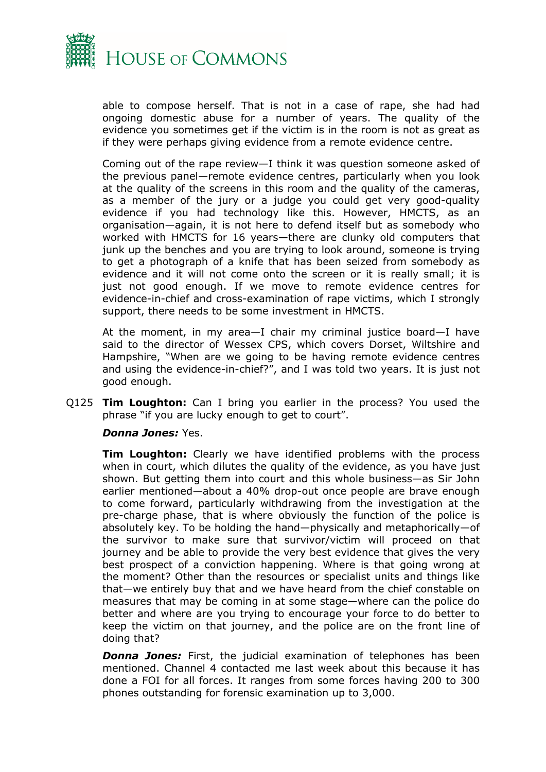

able to compose herself. That is not in a case of rape, she had had ongoing domestic abuse for a number of years. The quality of the evidence you sometimes get if the victim is in the room is not as great as if they were perhaps giving evidence from a remote evidence centre.

Coming out of the rape review—I think it was question someone asked of the previous panel—remote evidence centres, particularly when you look at the quality of the screens in this room and the quality of the cameras, as a member of the jury or a judge you could get very good-quality evidence if you had technology like this. However, HMCTS, as an organisation—again, it is not here to defend itself but as somebody who worked with HMCTS for 16 years—there are clunky old computers that junk up the benches and you are trying to look around, someone is trying to get a photograph of a knife that has been seized from somebody as evidence and it will not come onto the screen or it is really small; it is just not good enough. If we move to remote evidence centres for evidence-in-chief and cross-examination of rape victims, which I strongly support, there needs to be some investment in HMCTS.

At the moment, in my area—I chair my criminal justice board—I have said to the director of Wessex CPS, which covers Dorset, Wiltshire and Hampshire, "When are we going to be having remote evidence centres and using the evidence-in-chief?", and I was told two years. It is just not good enough.

Q125 **Tim Loughton:** Can I bring you earlier in the process? You used the phrase "if you are lucky enough to get to court".

#### *Donna Jones:* Yes.

**Tim Loughton:** Clearly we have identified problems with the process when in court, which dilutes the quality of the evidence, as you have just shown. But getting them into court and this whole business—as Sir John earlier mentioned—about a 40% drop-out once people are brave enough to come forward, particularly withdrawing from the investigation at the pre-charge phase, that is where obviously the function of the police is absolutely key. To be holding the hand—physically and metaphorically—of the survivor to make sure that survivor/victim will proceed on that journey and be able to provide the very best evidence that gives the very best prospect of a conviction happening. Where is that going wrong at the moment? Other than the resources or specialist units and things like that—we entirely buy that and we have heard from the chief constable on measures that may be coming in at some stage—where can the police do better and where are you trying to encourage your force to do better to keep the victim on that journey, and the police are on the front line of doing that?

*Donna Jones:* First, the judicial examination of telephones has been mentioned. Channel 4 contacted me last week about this because it has done a FOI for all forces. It ranges from some forces having 200 to 300 phones outstanding for forensic examination up to 3,000.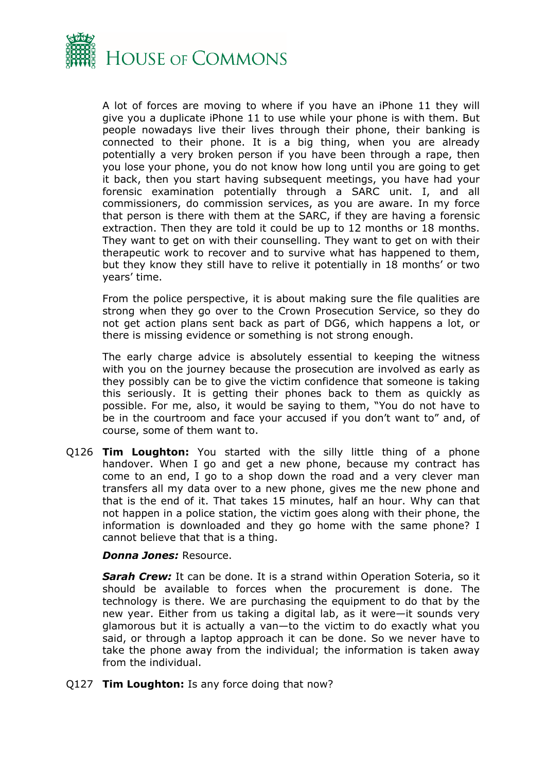

A lot of forces are moving to where if you have an iPhone 11 they will give you a duplicate iPhone 11 to use while your phone is with them. But people nowadays live their lives through their phone, their banking is connected to their phone. It is a big thing, when you are already potentially a very broken person if you have been through a rape, then you lose your phone, you do not know how long until you are going to get it back, then you start having subsequent meetings, you have had your forensic examination potentially through a SARC unit. I, and all commissioners, do commission services, as you are aware. In my force that person is there with them at the SARC, if they are having a forensic extraction. Then they are told it could be up to 12 months or 18 months. They want to get on with their counselling. They want to get on with their therapeutic work to recover and to survive what has happened to them, but they know they still have to relive it potentially in 18 months' or two years' time.

From the police perspective, it is about making sure the file qualities are strong when they go over to the Crown Prosecution Service, so they do not get action plans sent back as part of DG6, which happens a lot, or there is missing evidence or something is not strong enough.

The early charge advice is absolutely essential to keeping the witness with you on the journey because the prosecution are involved as early as they possibly can be to give the victim confidence that someone is taking this seriously. It is getting their phones back to them as quickly as possible. For me, also, it would be saying to them, "You do not have to be in the courtroom and face your accused if you don't want to" and, of course, some of them want to.

Q126 **Tim Loughton:** You started with the silly little thing of a phone handover. When I go and get a new phone, because my contract has come to an end, I go to a shop down the road and a very clever man transfers all my data over to a new phone, gives me the new phone and that is the end of it. That takes 15 minutes, half an hour. Why can that not happen in a police station, the victim goes along with their phone, the information is downloaded and they go home with the same phone? I cannot believe that that is a thing.

#### *Donna Jones:* Resource.

*Sarah Crew:* It can be done. It is a strand within Operation Soteria, so it should be available to forces when the procurement is done. The technology is there. We are purchasing the equipment to do that by the new year. Either from us taking a digital lab, as it were—it sounds very glamorous but it is actually a van—to the victim to do exactly what you said, or through a laptop approach it can be done. So we never have to take the phone away from the individual; the information is taken away from the individual.

Q127 **Tim Loughton:** Is any force doing that now?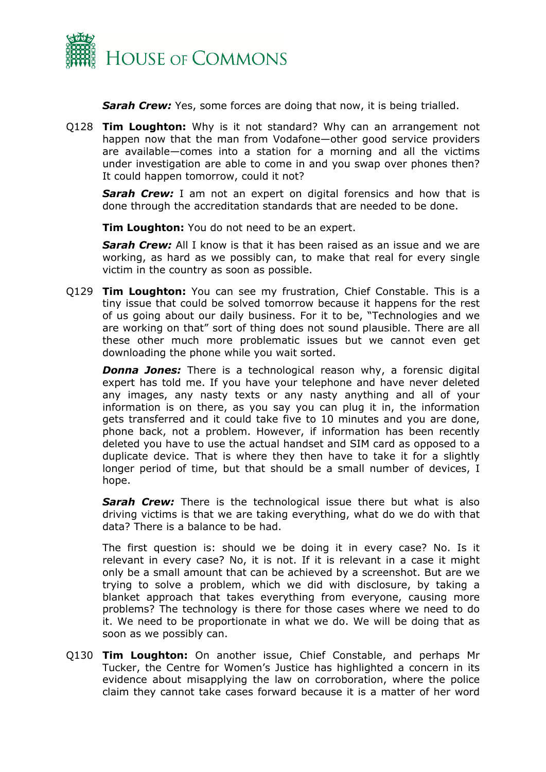

*Sarah Crew:* Yes, some forces are doing that now, it is being trialled.

Q128 **Tim Loughton:** Why is it not standard? Why can an arrangement not happen now that the man from Vodafone—other good service providers are available—comes into a station for a morning and all the victims under investigation are able to come in and you swap over phones then? It could happen tomorrow, could it not?

**Sarah Crew:** I am not an expert on digital forensics and how that is done through the accreditation standards that are needed to be done.

**Tim Loughton:** You do not need to be an expert.

*Sarah Crew:* All I know is that it has been raised as an issue and we are working, as hard as we possibly can, to make that real for every single victim in the country as soon as possible.

Q129 **Tim Loughton:** You can see my frustration, Chief Constable. This is a tiny issue that could be solved tomorrow because it happens for the rest of us going about our daily business. For it to be, "Technologies and we are working on that" sort of thing does not sound plausible. There are all these other much more problematic issues but we cannot even get downloading the phone while you wait sorted.

*Donna Jones:* There is a technological reason why, a forensic digital expert has told me. If you have your telephone and have never deleted any images, any nasty texts or any nasty anything and all of your information is on there, as you say you can plug it in, the information gets transferred and it could take five to 10 minutes and you are done, phone back, not a problem. However, if information has been recently deleted you have to use the actual handset and SIM card as opposed to a duplicate device. That is where they then have to take it for a slightly longer period of time, but that should be a small number of devices, I hope.

**Sarah Crew:** There is the technological issue there but what is also driving victims is that we are taking everything, what do we do with that data? There is a balance to be had.

The first question is: should we be doing it in every case? No. Is it relevant in every case? No, it is not. If it is relevant in a case it might only be a small amount that can be achieved by a screenshot. But are we trying to solve a problem, which we did with disclosure, by taking a blanket approach that takes everything from everyone, causing more problems? The technology is there for those cases where we need to do it. We need to be proportionate in what we do. We will be doing that as soon as we possibly can.

Q130 **Tim Loughton:** On another issue, Chief Constable, and perhaps Mr Tucker, the Centre for Women's Justice has highlighted a concern in its evidence about misapplying the law on corroboration, where the police claim they cannot take cases forward because it is a matter of her word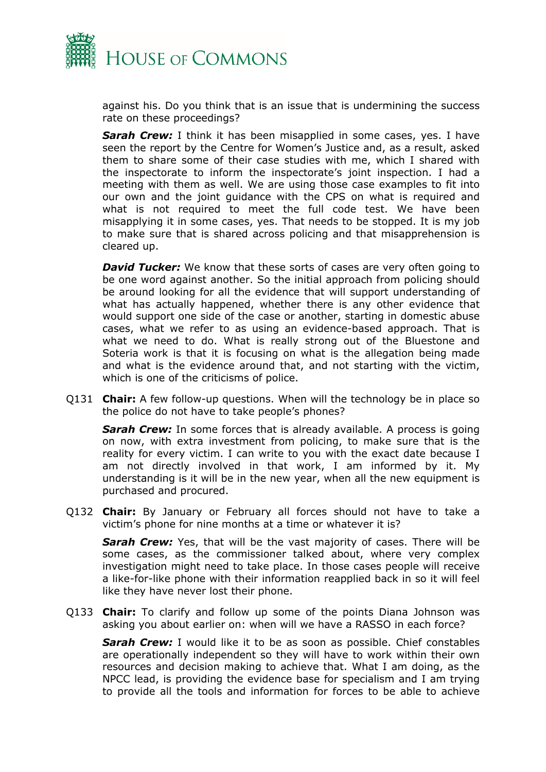

against his. Do you think that is an issue that is undermining the success rate on these proceedings?

*Sarah Crew:* I think it has been misapplied in some cases, yes. I have seen the report by the Centre for Women's Justice and, as a result, asked them to share some of their case studies with me, which I shared with the inspectorate to inform the inspectorate's joint inspection. I had a meeting with them as well. We are using those case examples to fit into our own and the joint guidance with the CPS on what is required and what is not required to meet the full code test. We have been misapplying it in some cases, yes. That needs to be stopped. It is my job to make sure that is shared across policing and that misapprehension is cleared up.

*David Tucker:* We know that these sorts of cases are very often going to be one word against another. So the initial approach from policing should be around looking for all the evidence that will support understanding of what has actually happened, whether there is any other evidence that would support one side of the case or another, starting in domestic abuse cases, what we refer to as using an evidence-based approach. That is what we need to do. What is really strong out of the Bluestone and Soteria work is that it is focusing on what is the allegation being made and what is the evidence around that, and not starting with the victim, which is one of the criticisms of police.

Q131 **Chair:** A few follow-up questions. When will the technology be in place so the police do not have to take people's phones?

*Sarah Crew:* In some forces that is already available. A process is going on now, with extra investment from policing, to make sure that is the reality for every victim. I can write to you with the exact date because I am not directly involved in that work, I am informed by it. My understanding is it will be in the new year, when all the new equipment is purchased and procured.

Q132 **Chair:** By January or February all forces should not have to take a victim's phone for nine months at a time or whatever it is?

*Sarah Crew:* Yes, that will be the vast majority of cases. There will be some cases, as the commissioner talked about, where very complex investigation might need to take place. In those cases people will receive a like-for-like phone with their information reapplied back in so it will feel like they have never lost their phone.

Q133 **Chair:** To clarify and follow up some of the points Diana Johnson was asking you about earlier on: when will we have a RASSO in each force?

*Sarah Crew:* I would like it to be as soon as possible. Chief constables are operationally independent so they will have to work within their own resources and decision making to achieve that. What I am doing, as the NPCC lead, is providing the evidence base for specialism and I am trying to provide all the tools and information for forces to be able to achieve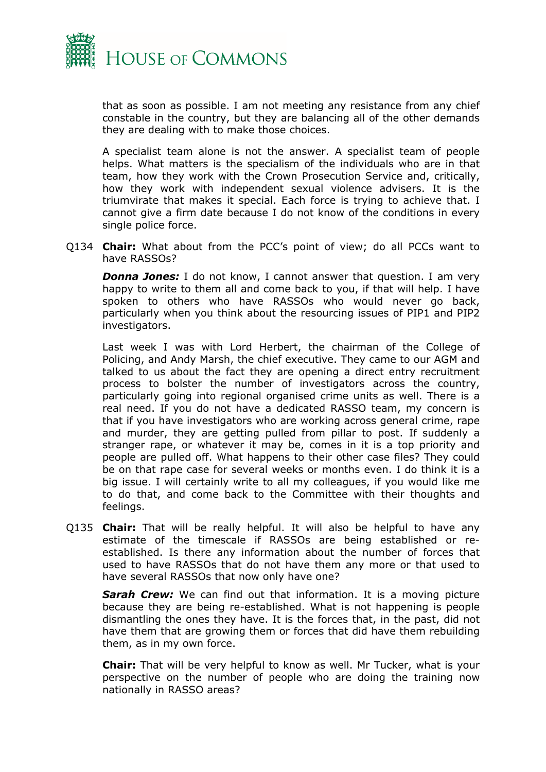

that as soon as possible. I am not meeting any resistance from any chief constable in the country, but they are balancing all of the other demands they are dealing with to make those choices.

A specialist team alone is not the answer. A specialist team of people helps. What matters is the specialism of the individuals who are in that team, how they work with the Crown Prosecution Service and, critically, how they work with independent sexual violence advisers. It is the triumvirate that makes it special. Each force is trying to achieve that. I cannot give a firm date because I do not know of the conditions in every single police force.

Q134 **Chair:** What about from the PCC's point of view; do all PCCs want to have RASSOs?

*Donna Jones:* I do not know, I cannot answer that question. I am very happy to write to them all and come back to you, if that will help. I have spoken to others who have RASSOs who would never go back, particularly when you think about the resourcing issues of PIP1 and PIP2 investigators.

Last week I was with Lord Herbert, the chairman of the College of Policing, and Andy Marsh, the chief executive. They came to our AGM and talked to us about the fact they are opening a direct entry recruitment process to bolster the number of investigators across the country, particularly going into regional organised crime units as well. There is a real need. If you do not have a dedicated RASSO team, my concern is that if you have investigators who are working across general crime, rape and murder, they are getting pulled from pillar to post. If suddenly a stranger rape, or whatever it may be, comes in it is a top priority and people are pulled off. What happens to their other case files? They could be on that rape case for several weeks or months even. I do think it is a big issue. I will certainly write to all my colleagues, if you would like me to do that, and come back to the Committee with their thoughts and feelings.

Q135 **Chair:** That will be really helpful. It will also be helpful to have any estimate of the timescale if RASSOs are being established or reestablished. Is there any information about the number of forces that used to have RASSOs that do not have them any more or that used to have several RASSOs that now only have one?

**Sarah Crew:** We can find out that information. It is a moving picture because they are being re-established. What is not happening is people dismantling the ones they have. It is the forces that, in the past, did not have them that are growing them or forces that did have them rebuilding them, as in my own force.

**Chair:** That will be very helpful to know as well. Mr Tucker, what is your perspective on the number of people who are doing the training now nationally in RASSO areas?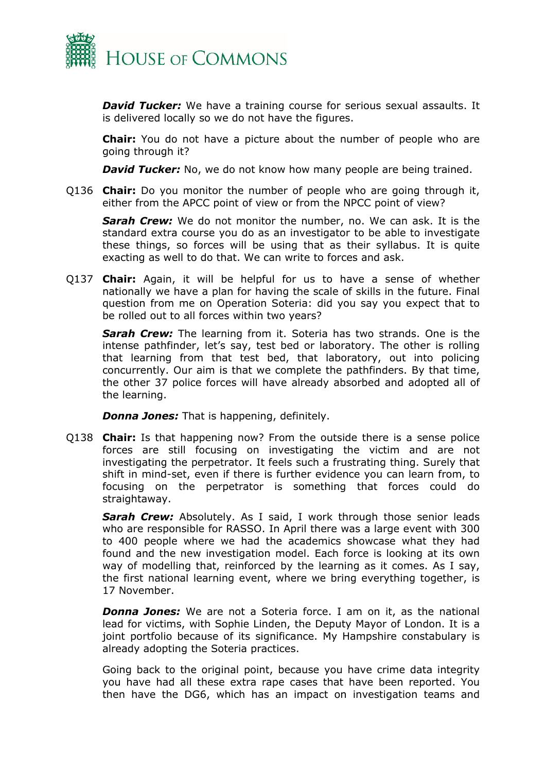

*David Tucker:* We have a training course for serious sexual assaults. It is delivered locally so we do not have the figures.

**Chair:** You do not have a picture about the number of people who are going through it?

*David Tucker:* No, we do not know how many people are being trained.

Q136 **Chair:** Do you monitor the number of people who are going through it, either from the APCC point of view or from the NPCC point of view?

*Sarah Crew:* We do not monitor the number, no. We can ask. It is the standard extra course you do as an investigator to be able to investigate these things, so forces will be using that as their syllabus. It is quite exacting as well to do that. We can write to forces and ask.

Q137 **Chair:** Again, it will be helpful for us to have a sense of whether nationally we have a plan for having the scale of skills in the future. Final question from me on Operation Soteria: did you say you expect that to be rolled out to all forces within two years?

*Sarah Crew:* The learning from it. Soteria has two strands. One is the intense pathfinder, let's say, test bed or laboratory. The other is rolling that learning from that test bed, that laboratory, out into policing concurrently. Our aim is that we complete the pathfinders. By that time, the other 37 police forces will have already absorbed and adopted all of the learning.

*Donna Jones:* That is happening, definitely.

Q138 **Chair:** Is that happening now? From the outside there is a sense police forces are still focusing on investigating the victim and are not investigating the perpetrator. It feels such a frustrating thing. Surely that shift in mind-set, even if there is further evidence you can learn from, to focusing on the perpetrator is something that forces could do straightaway.

*Sarah Crew:* Absolutely. As I said, I work through those senior leads who are responsible for RASSO. In April there was a large event with 300 to 400 people where we had the academics showcase what they had found and the new investigation model. Each force is looking at its own way of modelling that, reinforced by the learning as it comes. As I say, the first national learning event, where we bring everything together, is 17 November.

*Donna Jones:* We are not a Soteria force. I am on it, as the national lead for victims, with Sophie Linden, the Deputy Mayor of London. It is a joint portfolio because of its significance. My Hampshire constabulary is already adopting the Soteria practices.

Going back to the original point, because you have crime data integrity you have had all these extra rape cases that have been reported. You then have the DG6, which has an impact on investigation teams and